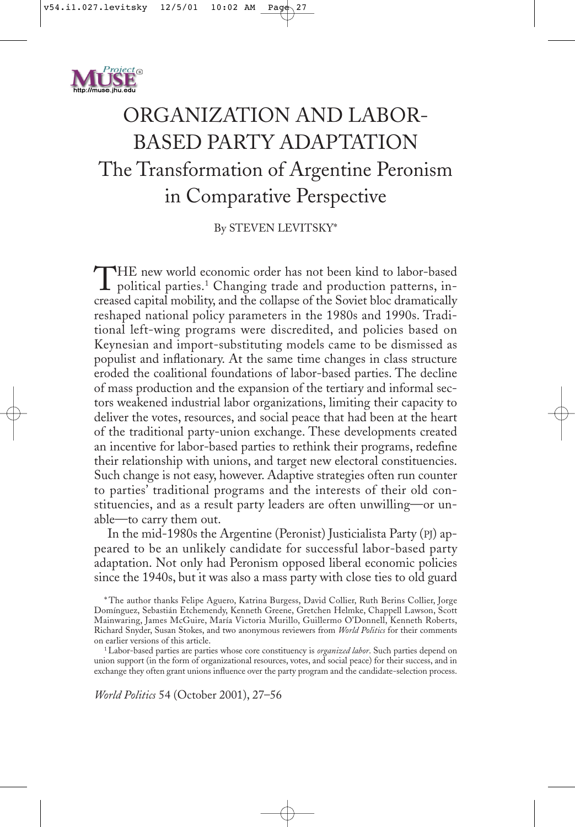

# ORGANIZATION AND LABOR-BASED PARTY ADAPTATION The Transformation of Argentine Peronism in Comparative Perspective

By STEVEN LEVITSKY\*

THE new world economic order has not been kind to labor-based<br>political parties.<sup>1</sup> Changing trade and production patterns, in-<br>parecel position politics and the sellings of the Seriet blue durantically creased capital mobility, and the collapse of the Soviet bloc dramatically reshaped national policy parameters in the 1980s and 1990s. Traditional left-wing programs were discredited, and policies based on Keynesian and import-substituting models came to be dismissed as populist and inflationary. At the same time changes in class structure eroded the coalitional foundations of labor-based parties. The decline of mass production and the expansion of the tertiary and informal sectors weakened industrial labor organizations, limiting their capacity to deliver the votes, resources, and social peace that had been at the heart of the traditional party-union exchange. These developments created an incentive for labor-based parties to rethink their programs, redefine their relationship with unions, and target new electoral constituencies. Such change is not easy, however. Adaptive strategies often run counter to parties' traditional programs and the interests of their old constituencies, and as a result party leaders are often unwilling—or unable—to carry them out.

In the mid-1980s the Argentine (Peronist) Justicialista Party (PJ) appeared to be an unlikely candidate for successful labor-based party adaptation. Not only had Peronism opposed liberal economic policies since the 1940s, but it was also a mass party with close ties to old guard

\* The author thanks Felipe Aguero, Katrina Burgess, David Collier, Ruth Berins Collier, Jorge Domínguez, Sebastián Etchemendy, Kenneth Greene, Gretchen Helmke, Chappell Lawson, Scott Mainwaring, James McGuire, María Victoria Murillo, Guillermo O'Donnell, Kenneth Roberts, Richard Snyder, Susan Stokes, and two anonymous reviewers from *World Politics* for their comments on earlier versions of this article.

1 Labor-based parties are parties whose core constituency is *organized labor*. Such parties depend on union support (in the form of organizational resources, votes, and social peace) for their success, and in exchange they often grant unions influence over the party program and the candidate-selection process.

*World Politics* 54 (October 2001), 27–56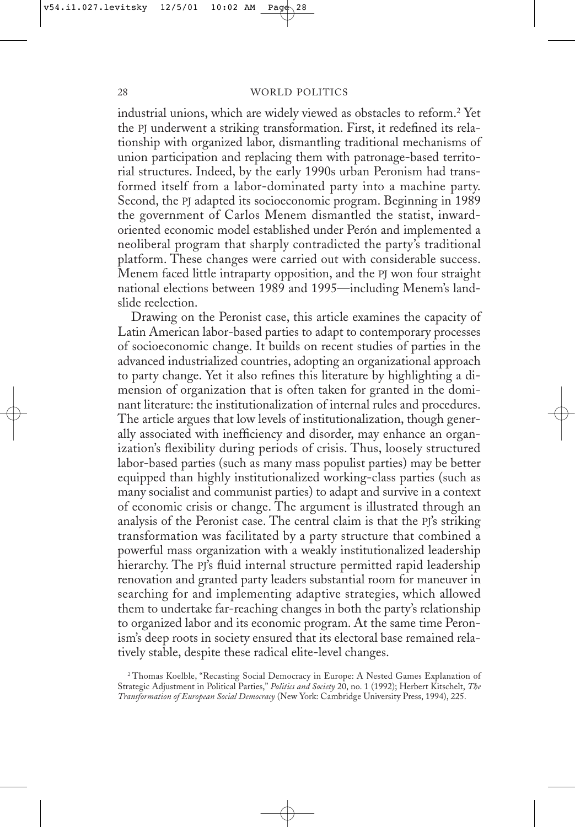industrial unions, which are widely viewed as obstacles to reform.2 Yet the PJ underwent a striking transformation. First, it redefined its relationship with organized labor, dismantling traditional mechanisms of union participation and replacing them with patronage-based territorial structures. Indeed, by the early 1990s urban Peronism had transformed itself from a labor-dominated party into a machine party. Second, the PJ adapted its socioeconomic program. Beginning in 1989 the government of Carlos Menem dismantled the statist, inwardoriented economic model established under Perón and implemented a neoliberal program that sharply contradicted the party's traditional platform. These changes were carried out with considerable success. Menem faced little intraparty opposition, and the PJ won four straight national elections between 1989 and 1995—including Menem's landslide reelection.

Drawing on the Peronist case, this article examines the capacity of Latin American labor-based parties to adapt to contemporary processes of socioeconomic change. It builds on recent studies of parties in the advanced industrialized countries, adopting an organizational approach to party change. Yet it also refines this literature by highlighting a dimension of organization that is often taken for granted in the dominant literature: the institutionalization of internal rules and procedures. The article argues that low levels of institutionalization, though generally associated with inefficiency and disorder, may enhance an organization's flexibility during periods of crisis. Thus, loosely structured labor-based parties (such as many mass populist parties) may be better equipped than highly institutionalized working-class parties (such as many socialist and communist parties) to adapt and survive in a context of economic crisis or change. The argument is illustrated through an analysis of the Peronist case. The central claim is that the PJ's striking transformation was facilitated by a party structure that combined a powerful mass organization with a weakly institutionalized leadership hierarchy. The PJ's fluid internal structure permitted rapid leadership renovation and granted party leaders substantial room for maneuver in searching for and implementing adaptive strategies, which allowed them to undertake far-reaching changes in both the party's relationship to organized labor and its economic program. At the same time Peronism's deep roots in society ensured that its electoral base remained relatively stable, despite these radical elite-level changes.

<sup>&</sup>lt;sup>2</sup> Thomas Koelble, "Recasting Social Democracy in Europe: A Nested Games Explanation of Strategic Adjustment in Political Parties," *Politics and Society* 20, no. 1 (1992); Herbert Kitschelt, *The Transformation of European Social Democracy* (New York: Cambridge University Press, 1994), 225.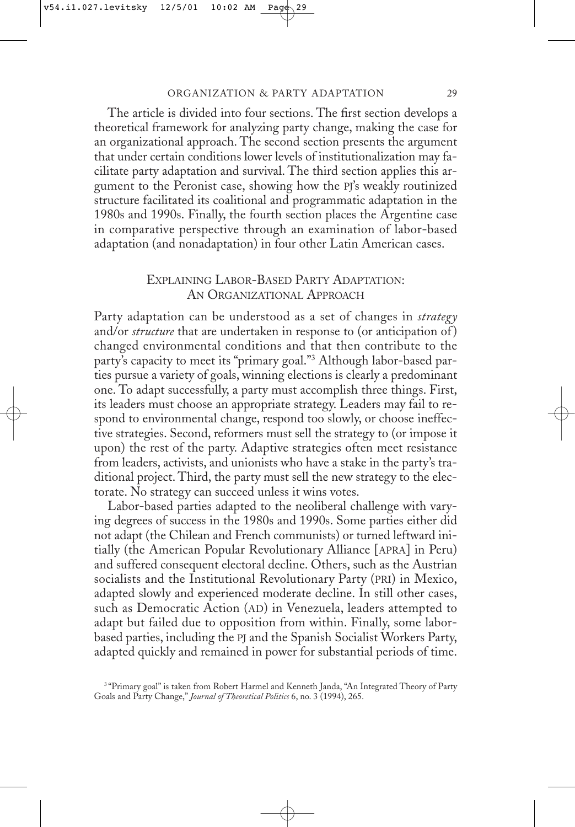The article is divided into four sections. The first section develops a theoretical framework for analyzing party change, making the case for an organizational approach. The second section presents the argument that under certain conditions lower levels of institutionalization may facilitate party adaptation and survival. The third section applies this argument to the Peronist case, showing how the PJ's weakly routinized structure facilitated its coalitional and programmatic adaptation in the 1980s and 1990s. Finally, the fourth section places the Argentine case in comparative perspective through an examination of labor-based adaptation (and nonadaptation) in four other Latin American cases.

# EXPLAINING LABOR-BASED PARTY ADAPTATION: AN ORGANIZATIONAL APPROACH

Party adaptation can be understood as a set of changes in *strategy* and/or *structure* that are undertaken in response to (or anticipation of ) changed environmental conditions and that then contribute to the party's capacity to meet its "primary goal."3 Although labor-based parties pursue a variety of goals, winning elections is clearly a predominant one. To adapt successfully, a party must accomplish three things. First, its leaders must choose an appropriate strategy. Leaders may fail to respond to environmental change, respond too slowly, or choose ineffective strategies. Second, reformers must sell the strategy to (or impose it upon) the rest of the party. Adaptive strategies often meet resistance from leaders, activists, and unionists who have a stake in the party's traditional project. Third, the party must sell the new strategy to the electorate. No strategy can succeed unless it wins votes.

Labor-based parties adapted to the neoliberal challenge with varying degrees of success in the 1980s and 1990s. Some parties either did not adapt (the Chilean and French communists) or turned leftward initially (the American Popular Revolutionary Alliance [APRA] in Peru) and suffered consequent electoral decline. Others, such as the Austrian socialists and the Institutional Revolutionary Party (PRI) in Mexico, adapted slowly and experienced moderate decline. In still other cases, such as Democratic Action (AD) in Venezuela, leaders attempted to adapt but failed due to opposition from within. Finally, some laborbased parties, including the PJ and the Spanish Socialist Workers Party, adapted quickly and remained in power for substantial periods of time.

<sup>&</sup>lt;sup>3</sup> "Primary goal" is taken from Robert Harmel and Kenneth Janda, "An Integrated Theory of Party Goals and Party Change," *Journal of Theoretical Politics* 6, no. 3 (1994), 265.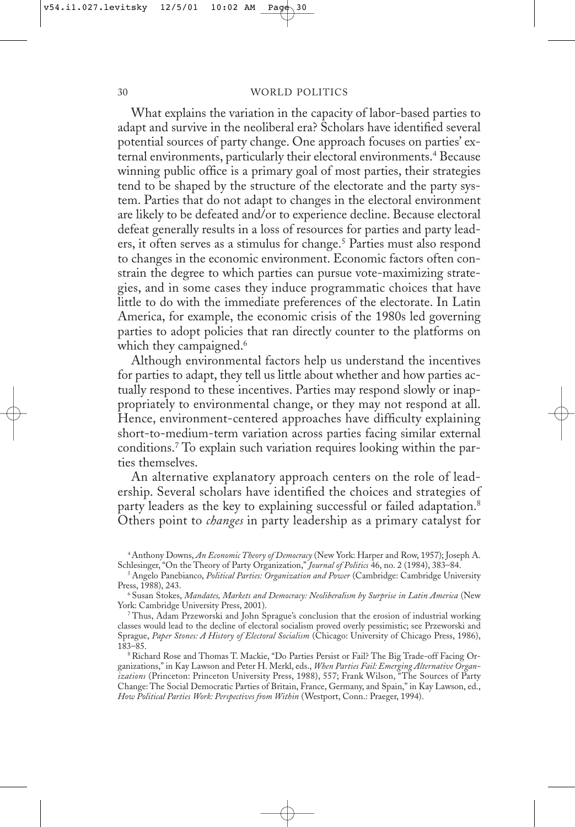What explains the variation in the capacity of labor-based parties to adapt and survive in the neoliberal era? Scholars have identified several potential sources of party change. One approach focuses on parties' external environments, particularly their electoral environments.4 Because winning public office is a primary goal of most parties, their strategies tend to be shaped by the structure of the electorate and the party system. Parties that do not adapt to changes in the electoral environment are likely to be defeated and/or to experience decline. Because electoral defeat generally results in a loss of resources for parties and party leaders, it often serves as a stimulus for change.5 Parties must also respond to changes in the economic environment. Economic factors often constrain the degree to which parties can pursue vote-maximizing strategies, and in some cases they induce programmatic choices that have little to do with the immediate preferences of the electorate. In Latin America, for example, the economic crisis of the 1980s led governing parties to adopt policies that ran directly counter to the platforms on which they campaigned.<sup>6</sup>

Although environmental factors help us understand the incentives for parties to adapt, they tell us little about whether and how parties actually respond to these incentives. Parties may respond slowly or inappropriately to environmental change, or they may not respond at all. Hence, environment-centered approaches have difficulty explaining short-to-medium-term variation across parties facing similar external conditions.7 To explain such variation requires looking within the parties themselves.

An alternative explanatory approach centers on the role of leadership. Several scholars have identified the choices and strategies of party leaders as the key to explaining successful or failed adaptation.<sup>8</sup> Others point to *changes* in party leadership as a primary catalyst for

<sup>4</sup> Anthony Downs, *An Economic Theory of Democracy* (New York: Harper and Row, 1957); Joseph A. Schlesinger, "On the Theory of Party Organization," *Journal of Politics* 46, no. 2 (1984), 383–84.

<sup>5</sup> Angelo Panebianco, *Political Parties: Organization and Power* (Cambridge: Cambridge University Press, 1988), 243.

<sup>6</sup> Susan Stokes, *Mandates, Markets and Democracy: Neoliberalism by Surprise in Latin America* (New York: Cambridge University Press, 2001).

<sup>7</sup> Thus, Adam Przeworski and John Sprague's conclusion that the erosion of industrial working classes would lead to the decline of electoral socialism proved overly pessimistic; see Przeworski and Sprague, *Paper Stones: A History of Electoral Socialism* (Chicago: University of Chicago Press, 1986), 183–85.

<sup>8</sup> Richard Rose and Thomas T. Mackie, "Do Parties Persist or Fail? The Big Trade-off Facing Organizations," in Kay Lawson and Peter H. Merkl, eds., *When Parties Fail: Emerging Alternative Organizations* (Princeton: Princeton University Press, 1988), 557; Frank Wilson, "The Sources of Party Change: The Social Democratic Parties of Britain, France, Germany, and Spain," in Kay Lawson, ed., *How Political Parties Work: Perspectives from Within* (Westport, Conn.: Praeger, 1994).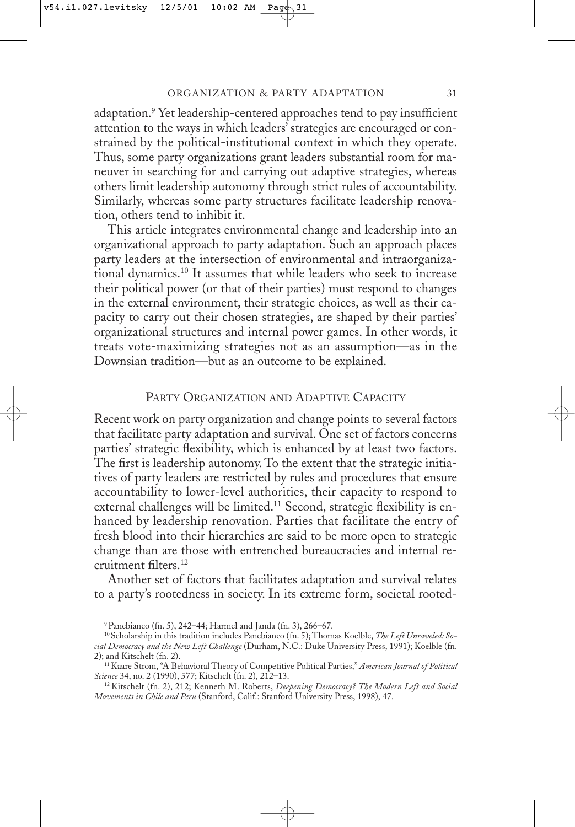adaptation.<sup>9</sup> Yet leadership-centered approaches tend to pay insufficient attention to the ways in which leaders' strategies are encouraged or constrained by the political-institutional context in which they operate. Thus, some party organizations grant leaders substantial room for maneuver in searching for and carrying out adaptive strategies, whereas others limit leadership autonomy through strict rules of accountability. Similarly, whereas some party structures facilitate leadership renovation, others tend to inhibit it.

This article integrates environmental change and leadership into an organizational approach to party adaptation. Such an approach places party leaders at the intersection of environmental and intraorganizational dynamics.10 It assumes that while leaders who seek to increase their political power (or that of their parties) must respond to changes in the external environment, their strategic choices, as well as their capacity to carry out their chosen strategies, are shaped by their parties' organizational structures and internal power games. In other words, it treats vote-maximizing strategies not as an assumption—as in the Downsian tradition—but as an outcome to be explained.

## PARTY ORGANIZATION AND ADAPTIVE CAPACITY

Recent work on party organization and change points to several factors that facilitate party adaptation and survival. One set of factors concerns parties' strategic flexibility, which is enhanced by at least two factors. The first is leadership autonomy. To the extent that the strategic initiatives of party leaders are restricted by rules and procedures that ensure accountability to lower-level authorities, their capacity to respond to external challenges will be limited.<sup>11</sup> Second, strategic flexibility is enhanced by leadership renovation. Parties that facilitate the entry of fresh blood into their hierarchies are said to be more open to strategic change than are those with entrenched bureaucracies and internal recruitment filters.12

Another set of factors that facilitates adaptation and survival relates to a party's rootedness in society. In its extreme form, societal rooted-

<sup>9</sup> Panebianco (fn. 5), 242–44; Harmel and Janda (fn. 3), 266–67.

<sup>10</sup> Scholarship in this tradition includes Panebianco (fn. 5); Thomas Koelble, *The Left Unraveled: Social Democracy and the New Left Challenge* (Durham, N.C.: Duke University Press, 1991); Koelble (fn. 2); and Kitschelt (fn. 2).

<sup>11</sup> Kaare Strom, "A Behavioral Theory of Competitive Political Parties," *American Journal of Political Science* 34, no. 2 (1990), 577; Kitschelt (fn. 2), 212–13.

<sup>12</sup> Kitschelt (fn. 2), 212; Kenneth M. Roberts, *Deepening Democracy? The Modern Left and Social Movements in Chile and Peru* (Stanford, Calif.: Stanford University Press, 1998), 47.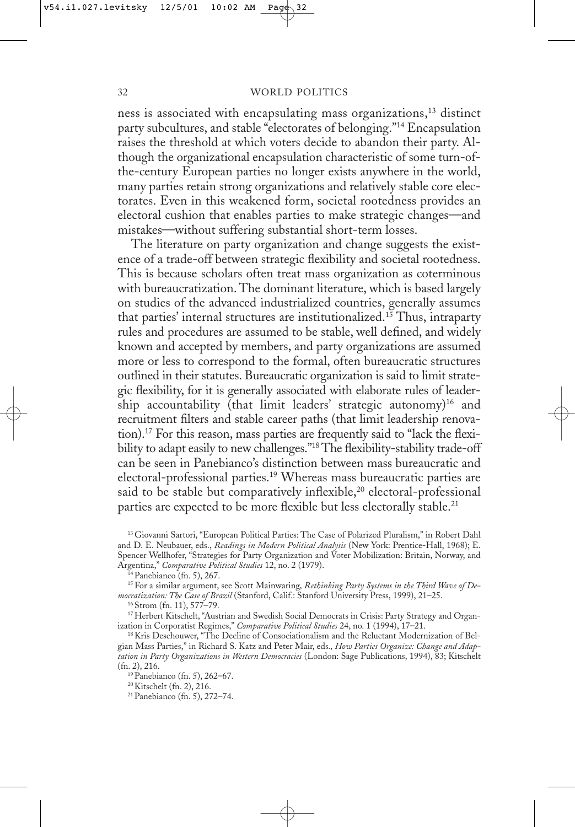ness is associated with encapsulating mass organizations,<sup>13</sup> distinct party subcultures, and stable "electorates of belonging."14 Encapsulation raises the threshold at which voters decide to abandon their party. Although the organizational encapsulation characteristic of some turn-ofthe-century European parties no longer exists anywhere in the world, many parties retain strong organizations and relatively stable core electorates. Even in this weakened form, societal rootedness provides an electoral cushion that enables parties to make strategic changes—and mistakes—without suffering substantial short-term losses.

The literature on party organization and change suggests the existence of a trade-off between strategic flexibility and societal rootedness. This is because scholars often treat mass organization as coterminous with bureaucratization. The dominant literature, which is based largely on studies of the advanced industrialized countries, generally assumes that parties' internal structures are institutionalized.<sup>15</sup> Thus, intraparty rules and procedures are assumed to be stable, well defined, and widely known and accepted by members, and party organizations are assumed more or less to correspond to the formal, often bureaucratic structures outlined in their statutes. Bureaucratic organization is said to limit strategic flexibility, for it is generally associated with elaborate rules of leadership accountability (that limit leaders' strategic autonomy)<sup>16</sup> and recruitment filters and stable career paths (that limit leadership renovation).17 For this reason, mass parties are frequently said to "lack the flexibility to adapt easily to new challenges."<sup>18</sup> The flexibility-stability trade-off can be seen in Panebianco's distinction between mass bureaucratic and electoral-professional parties.<sup>19</sup> Whereas mass bureaucratic parties are said to be stable but comparatively inflexible,<sup>20</sup> electoral-professional parties are expected to be more flexible but less electorally stable.<sup>21</sup>

<sup>13</sup> Giovanni Sartori, "European Political Parties: The Case of Polarized Pluralism," in Robert Dahl and D. E. Neubauer, eds., *Readings in Modern Political Analysis* (New York: Prentice-Hall, 1968); E. Spencer Wellhofer, "Strategies for Party Organization and Voter Mobilization: Britain, Norway, and Argentina," *Comparative Political Studies* 12, no. 2 (1979).

15 For a similar argument, see Scott Mainwaring*, Rethinking Party Systems in the Third Wave of Democratization: The Case of Brazil* (Stanford, Calif.: Stanford University Press, 1999), 21–25.

16 Strom (fn. 11), 577–79.

17 Herbert Kitschelt, "Austrian and Swedish Social Democrats in Crisis: Party Strategy and Organization in Corporatist Regimes," *Comparative Political Studies* 24, no. 1 (1994), 17–21.

<sup>18</sup> Kris Deschouwer, "The Decline of Consociationalism and the Reluctant Modernization of Belgian Mass Parties," in Richard S. Katz and Peter Mair, eds*., How Parties Organize: Change and Adaptation in Party Organizations in Western Democracies* (London: Sage Publications, 1994), 83; Kitschelt (fn. 2), 216.

19 Panebianco (fn. 5), 262–67.

20 Kitschelt (fn. 2), 216.

21 Panebianco (fn. 5), 272–74.

<sup>14</sup> Panebianco (fn. 5), 267.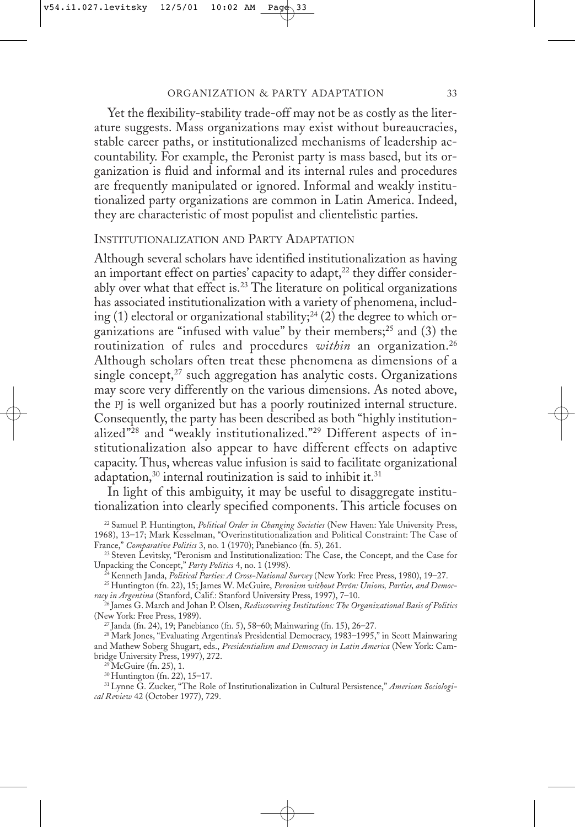Yet the flexibility-stability trade-off may not be as costly as the literature suggests. Mass organizations may exist without bureaucracies, stable career paths, or institutionalized mechanisms of leadership accountability. For example, the Peronist party is mass based, but its organization is fluid and informal and its internal rules and procedures are frequently manipulated or ignored. Informal and weakly institutionalized party organizations are common in Latin America. Indeed, they are characteristic of most populist and clientelistic parties.

# INSTITUTIONALIZATION AND PARTY ADAPTATION

Although several scholars have identified institutionalization as having an important effect on parties' capacity to adapt, $^{22}$  they differ considerably over what that effect is.<sup>23</sup> The literature on political organizations has associated institutionalization with a variety of phenomena, including (1) electoral or organizational stability;<sup>24</sup> (2) the degree to which organizations are "infused with value" by their members;<sup>25</sup> and (3) the routinization of rules and procedures *within* an organization.<sup>26</sup> Although scholars often treat these phenomena as dimensions of a single concept, $27$  such aggregation has analytic costs. Organizations may score very differently on the various dimensions. As noted above, the PJ is well organized but has a poorly routinized internal structure. Consequently, the party has been described as both "highly institutionalized"28 and "weakly institutionalized."29 Different aspects of institutionalization also appear to have different effects on adaptive capacity. Thus, whereas value infusion is said to facilitate organizational adaptation,<sup>30</sup> internal routinization is said to inhibit it.<sup>31</sup>

In light of this ambiguity, it may be useful to disaggregate institutionalization into clearly specified components. This article focuses on

23 Steven Levitsky, "Peronism and Institutionalization: The Case, the Concept, and the Case for Unpacking the Concept," *Party Politics* 4, no. 1 (1998).

24 Kenneth Janda, *Political Parties: A Cross-National Survey* (New York: Free Press, 1980), 19–27.

25 Huntington (fn. 22), 15; James W. McGuire, *Peronism without Perón: Unions, Parties, and Democracy in Argentina* (Stanford, Calif.: Stanford University Press, 1997), 7–10.

26 James G. March and Johan P. Olsen, *Rediscovering Institutions: The Organizational Basis of Politics* (New York: Free Press, 1989).

27 Janda (fn. 24), 19; Panebianco (fn. 5), 58–60; Mainwaring (fn. 15), 26–27.

<sup>28</sup> Mark Jones, "Evaluating Argentina's Presidential Democracy, 1983-1995," in Scott Mainwaring and Mathew Soberg Shugart, eds., *Presidentialism and Democracy in Latin America* (New York: Cambridge University Press, 1997), 272.

29 McGuire (fn. 25), 1.

30 Huntington (fn. 22), 15–17.

31 Lynne G. Zucker, "The Role of Institutionalization in Cultural Persistence," *American Sociological Review* 42 (October 1977), 729.

<sup>22</sup> Samuel P. Huntington, *Political Order in Changing Societies* (New Haven: Yale University Press, 1968), 13–17; Mark Kesselman, "Overinstitutionalization and Political Constraint: The Case of France," *Comparative Politics* 3, no. 1 (1970); Panebianco (fn. 5)*,* 261.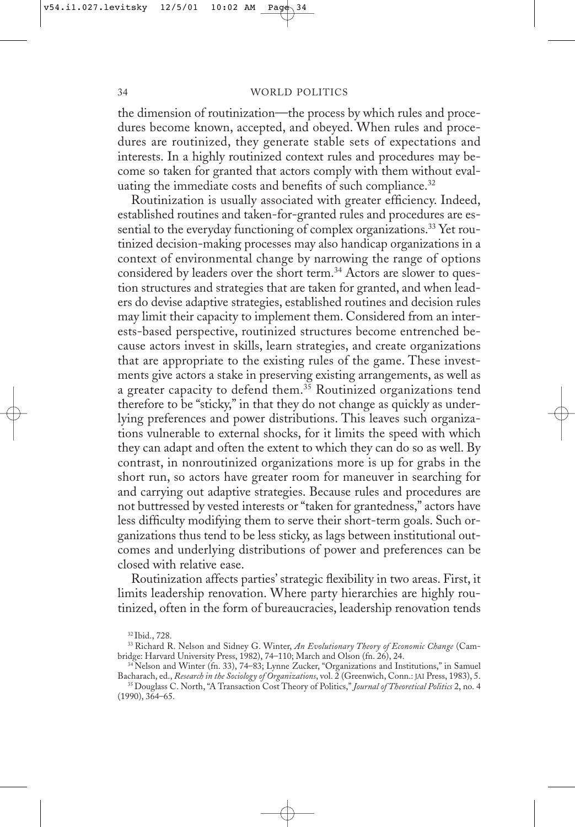the dimension of routinization—the process by which rules and procedures become known, accepted, and obeyed. When rules and procedures are routinized, they generate stable sets of expectations and interests. In a highly routinized context rules and procedures may become so taken for granted that actors comply with them without evaluating the immediate costs and benefits of such compliance.<sup>32</sup>

Routinization is usually associated with greater efficiency. Indeed, established routines and taken-for-granted rules and procedures are essential to the everyday functioning of complex organizations.<sup>33</sup> Yet routinized decision-making processes may also handicap organizations in a context of environmental change by narrowing the range of options considered by leaders over the short term.<sup>34</sup> Actors are slower to question structures and strategies that are taken for granted, and when leaders do devise adaptive strategies, established routines and decision rules may limit their capacity to implement them. Considered from an interests-based perspective, routinized structures become entrenched because actors invest in skills, learn strategies, and create organizations that are appropriate to the existing rules of the game. These investments give actors a stake in preserving existing arrangements, as well as a greater capacity to defend them.<sup>35</sup> Routinized organizations tend therefore to be "sticky," in that they do not change as quickly as underlying preferences and power distributions. This leaves such organizations vulnerable to external shocks, for it limits the speed with which they can adapt and often the extent to which they can do so as well. By contrast, in nonroutinized organizations more is up for grabs in the short run, so actors have greater room for maneuver in searching for and carrying out adaptive strategies. Because rules and procedures are not buttressed by vested interests or "taken for grantedness," actors have less difficulty modifying them to serve their short-term goals. Such organizations thus tend to be less sticky, as lags between institutional outcomes and underlying distributions of power and preferences can be closed with relative ease.

Routinization affects parties' strategic flexibility in two areas. First, it limits leadership renovation. Where party hierarchies are highly routinized, often in the form of bureaucracies, leadership renovation tends

<sup>32</sup> Ibid., 728.

<sup>33</sup> Richard R. Nelson and Sidney G. Winter, *An Evolutionary Theory of Economic Change* (Cambridge: Harvard University Press, 1982), 74–110; March and Olson (fn. 26), 24.

<sup>&</sup>lt;sup>34</sup> Nelson and Winter (fn. 33), 74–83; Lynne Zucker, "Organizations and Institutions," in Samuel Bacharach, ed., *Research in the Sociology of Organizations*, vol. 2 (Greenwich, Conn.: JAI Press, 1983), 5.

<sup>35</sup> Douglass C. North, "A Transaction Cost Theory of Politics," *Journal of Theoretical Politics* 2, no. 4 (1990), 364–65.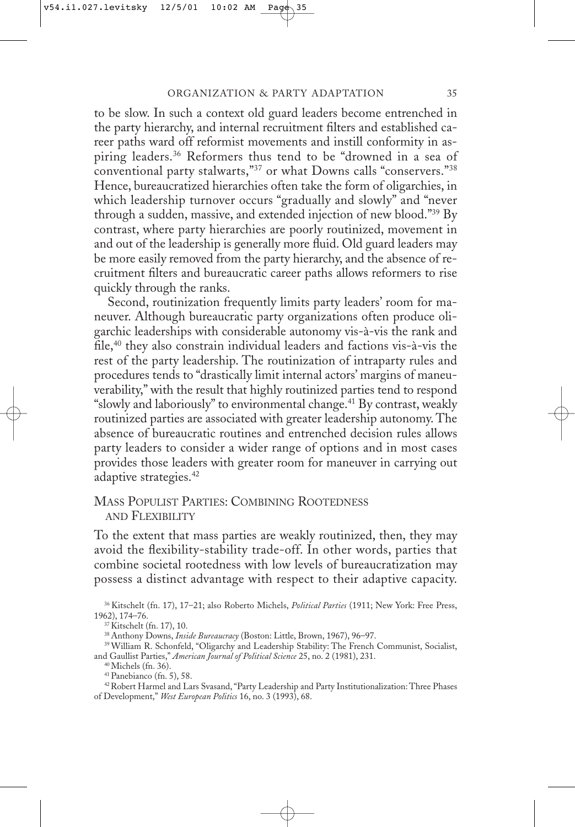to be slow. In such a context old guard leaders become entrenched in the party hierarchy, and internal recruitment filters and established career paths ward off reformist movements and instill conformity in aspiring leaders.<sup>36</sup> Reformers thus tend to be "drowned in a sea of conventional party stalwarts,"37 or what Downs calls "conservers."38 Hence, bureaucratized hierarchies often take the form of oligarchies, in which leadership turnover occurs "gradually and slowly" and "never through a sudden, massive, and extended injection of new blood."39 By contrast, where party hierarchies are poorly routinized, movement in and out of the leadership is generally more fluid. Old guard leaders may be more easily removed from the party hierarchy, and the absence of recruitment filters and bureaucratic career paths allows reformers to rise quickly through the ranks.

Second, routinization frequently limits party leaders' room for maneuver. Although bureaucratic party organizations often produce oligarchic leaderships with considerable autonomy vis-à-vis the rank and file,40 they also constrain individual leaders and factions vis-à-vis the rest of the party leadership. The routinization of intraparty rules and procedures tends to "drastically limit internal actors' margins of maneuverability," with the result that highly routinized parties tend to respond "slowly and laboriously" to environmental change.41 By contrast, weakly routinized parties are associated with greater leadership autonomy. The absence of bureaucratic routines and entrenched decision rules allows party leaders to consider a wider range of options and in most cases provides those leaders with greater room for maneuver in carrying out adaptive strategies.<sup>42</sup>

### MASS POPULIST PARTIES: COMBINING ROOTEDNESS AND FLEXIBILITY

To the extent that mass parties are weakly routinized, then, they may avoid the flexibility-stability trade-off. In other words, parties that combine societal rootedness with low levels of bureaucratization may possess a distinct advantage with respect to their adaptive capacity.

40 Michels (fn. 36).

41 Panebianco (fn. 5), 58.

42 Robert Harmel and Lars Svasand, "Party Leadership and Party Institutionalization: Three Phases of Development," *West European Politics* 16, no. 3 (1993), 68.

<sup>36</sup> Kitschelt (fn. 17), 17–21; also Roberto Michels, *Political Parties* (1911; New York: Free Press, 1962), 174–76.

<sup>37</sup> Kitschelt (fn. 17), 10.

<sup>38</sup> Anthony Downs, *Inside Bureaucracy* (Boston: Little, Brown, 1967), 96–97.

<sup>39</sup> William R. Schonfeld, "Oligarchy and Leadership Stability: The French Communist, Socialist, and Gaullist Parties," *American Journal of Political Science* 25, no. 2 (1981), 231.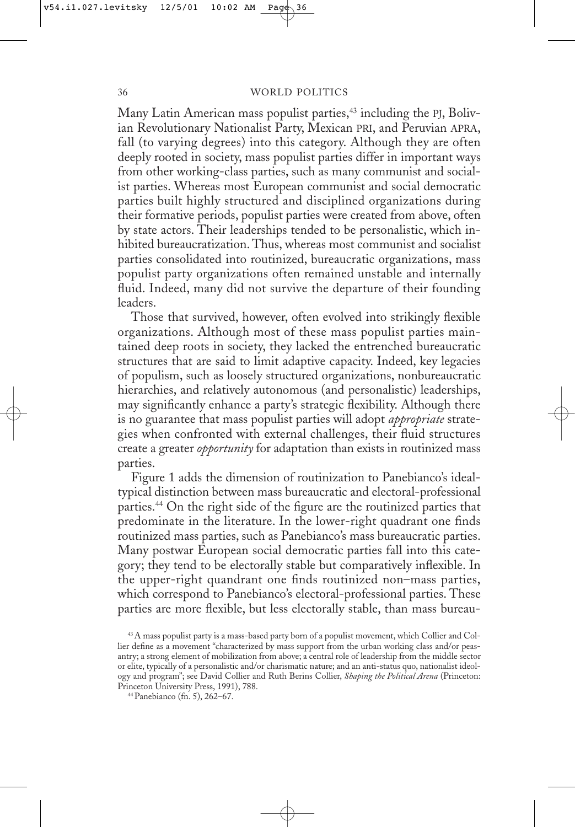Many Latin American mass populist parties,<sup>43</sup> including the PJ, Bolivian Revolutionary Nationalist Party, Mexican PRI, and Peruvian APRA, fall (to varying degrees) into this category. Although they are often deeply rooted in society, mass populist parties differ in important ways from other working-class parties, such as many communist and socialist parties. Whereas most European communist and social democratic parties built highly structured and disciplined organizations during their formative periods, populist parties were created from above, often by state actors. Their leaderships tended to be personalistic, which inhibited bureaucratization. Thus, whereas most communist and socialist parties consolidated into routinized, bureaucratic organizations, mass populist party organizations often remained unstable and internally fluid. Indeed, many did not survive the departure of their founding leaders.

Those that survived, however, often evolved into strikingly flexible organizations. Although most of these mass populist parties maintained deep roots in society, they lacked the entrenched bureaucratic structures that are said to limit adaptive capacity. Indeed, key legacies of populism, such as loosely structured organizations, nonbureaucratic hierarchies, and relatively autonomous (and personalistic) leaderships, may significantly enhance a party's strategic flexibility. Although there is no guarantee that mass populist parties will adopt *appropriate* strategies when confronted with external challenges, their fluid structures create a greater *opportunity* for adaptation than exists in routinized mass parties.

Figure 1 adds the dimension of routinization to Panebianco's idealtypical distinction between mass bureaucratic and electoral-professional parties.<sup>44</sup> On the right side of the figure are the routinized parties that predominate in the literature. In the lower-right quadrant one finds routinized mass parties, such as Panebianco's mass bureaucratic parties. Many postwar European social democratic parties fall into this category; they tend to be electorally stable but comparatively inflexible. In the upper-right quandrant one finds routinized non–mass parties, which correspond to Panebianco's electoral-professional parties. These parties are more flexible, but less electorally stable, than mass bureau-

<sup>43</sup> A mass populist party is a mass-based party born of a populist movement, which Collier and Collier define as a movement "characterized by mass support from the urban working class and/or peasantry; a strong element of mobilization from above; a central role of leadership from the middle sector or elite, typically of a personalistic and/or charismatic nature; and an anti-status quo, nationalist ideology and program"; see David Collier and Ruth Berins Collier, *Shaping the Political Arena* (Princeton: Princeton University Press, 1991), 788.

<sup>44</sup> Panebianco (fn. 5), 262–67.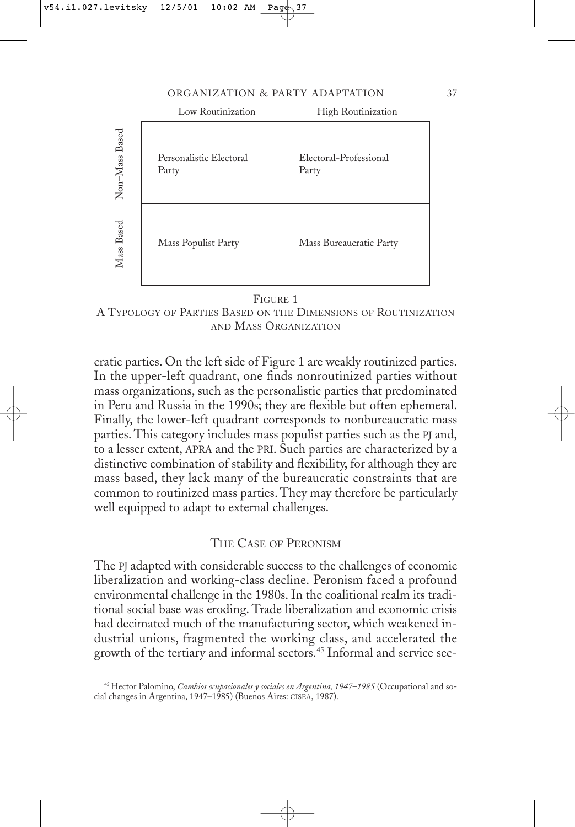#### ORGANIZATION & PARTY ADAPTATION 37

|                | Low Routinization                | High Routinization              |  |  |  |
|----------------|----------------------------------|---------------------------------|--|--|--|
| Non-Mass Based | Personalistic Electoral<br>Party | Electoral-Professional<br>Party |  |  |  |
| Mass Based     | Mass Populist Party              | Mass Bureaucratic Party         |  |  |  |

FIGURE 1

A TYPOLOGY OF PARTIES BASED ON THE DIMENSIONS OF ROUTINIZATION AND MASS ORGANIZATION

cratic parties. On the left side of Figure 1 are weakly routinized parties. In the upper-left quadrant, one finds nonroutinized parties without mass organizations, such as the personalistic parties that predominated in Peru and Russia in the 1990s; they are flexible but often ephemeral. Finally, the lower-left quadrant corresponds to nonbureaucratic mass parties. This category includes mass populist parties such as the PJ and, to a lesser extent, APRA and the PRI. Such parties are characterized by a distinctive combination of stability and flexibility, for although they are mass based, they lack many of the bureaucratic constraints that are common to routinized mass parties. They may therefore be particularly well equipped to adapt to external challenges.

## THE CASE OF PERONISM

The PJ adapted with considerable success to the challenges of economic liberalization and working-class decline. Peronism faced a profound environmental challenge in the 1980s. In the coalitional realm its traditional social base was eroding. Trade liberalization and economic crisis had decimated much of the manufacturing sector, which weakened industrial unions, fragmented the working class, and accelerated the growth of the tertiary and informal sectors.<sup>45</sup> Informal and service sec-

<sup>45</sup> Hector Palomino, *Cambios ocupacionales y sociales en Argentina, 1947–1985* (Occupational and social changes in Argentina, 1947–1985) (Buenos Aires: CISEA, 1987).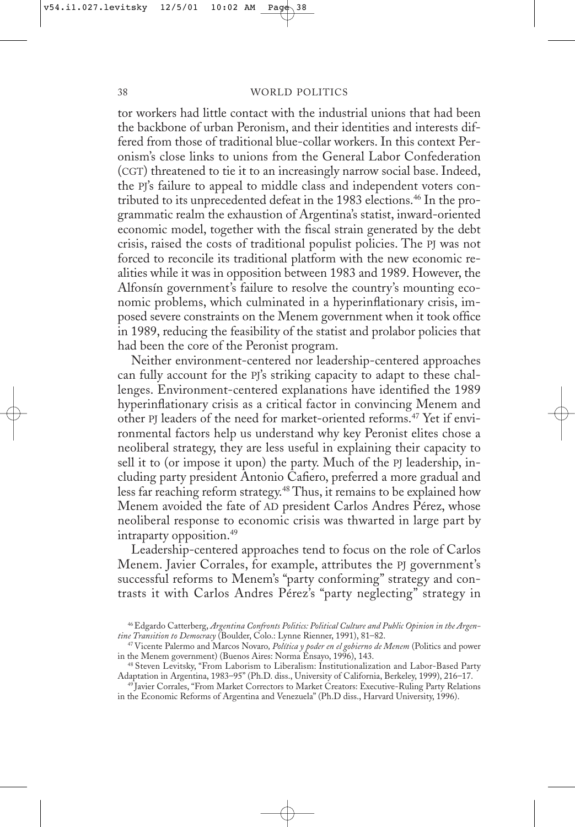tor workers had little contact with the industrial unions that had been the backbone of urban Peronism, and their identities and interests differed from those of traditional blue-collar workers. In this context Peronism's close links to unions from the General Labor Confederation (CGT) threatened to tie it to an increasingly narrow social base. Indeed, the PJ's failure to appeal to middle class and independent voters contributed to its unprecedented defeat in the 1983 elections.<sup>46</sup> In the programmatic realm the exhaustion of Argentina's statist, inward-oriented economic model, together with the fiscal strain generated by the debt crisis, raised the costs of traditional populist policies. The PJ was not forced to reconcile its traditional platform with the new economic realities while it was in opposition between 1983 and 1989. However, the Alfonsín government's failure to resolve the country's mounting economic problems, which culminated in a hyperinflationary crisis, imposed severe constraints on the Menem government when it took office in 1989, reducing the feasibility of the statist and prolabor policies that had been the core of the Peronist program.

Neither environment-centered nor leadership-centered approaches can fully account for the PJ's striking capacity to adapt to these challenges. Environment-centered explanations have identified the 1989 hyperinflationary crisis as a critical factor in convincing Menem and other PJ leaders of the need for market-oriented reforms.47 Yet if environmental factors help us understand why key Peronist elites chose a neoliberal strategy, they are less useful in explaining their capacity to sell it to (or impose it upon) the party. Much of the PJ leadership, including party president Antonio Cafiero, preferred a more gradual and less far reaching reform strategy.48 Thus, it remains to be explained how Menem avoided the fate of AD president Carlos Andres Pérez, whose neoliberal response to economic crisis was thwarted in large part by intraparty opposition.49

Leadership-centered approaches tend to focus on the role of Carlos Menem. Javier Corrales, for example, attributes the PJ government's successful reforms to Menem's "party conforming" strategy and contrasts it with Carlos Andres Pérez's "party neglecting" strategy in

<sup>46</sup> Edgardo Catterberg, *Argentina Confronts Politics: Political Culture and Public Opinion in the Argentine Transition to Democracy* (Boulder, Colo.: Lynne Rienner, 1991), 81–82.

<sup>47</sup> Vicente Palermo and Marcos Novaro*, Política y poder en el gobierno de Menem* (Politics and power in the Menem government) (Buenos Aires: Norma Ensayo, 1996), 143.

<sup>48</sup> Steven Levitsky, "From Laborism to Liberalism: Institutionalization and Labor-Based Party Adaptation in Argentina, 1983–95" (Ph.D. diss., University of California, Berkeley, 1999), 216–17.

<sup>&</sup>lt;sup>49</sup> Javier Corrales, "From Market Correctors to Market Creators: Executive-Ruling Party Relations in the Economic Reforms of Argentina and Venezuela" (Ph.D diss., Harvard University, 1996).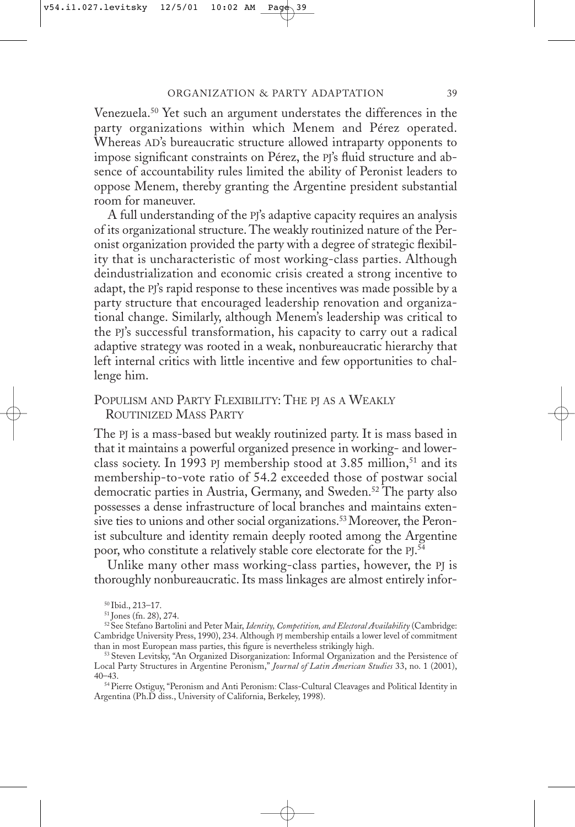Venezuela.50 Yet such an argument understates the differences in the party organizations within which Menem and Pérez operated. Whereas AD's bureaucratic structure allowed intraparty opponents to impose significant constraints on Pérez, the PJ's fluid structure and absence of accountability rules limited the ability of Peronist leaders to oppose Menem, thereby granting the Argentine president substantial room for maneuver.

A full understanding of the PJ's adaptive capacity requires an analysis of its organizational structure. The weakly routinized nature of the Peronist organization provided the party with a degree of strategic flexibility that is uncharacteristic of most working-class parties. Although deindustrialization and economic crisis created a strong incentive to adapt, the PJ's rapid response to these incentives was made possible by a party structure that encouraged leadership renovation and organizational change. Similarly, although Menem's leadership was critical to the PJ's successful transformation, his capacity to carry out a radical adaptive strategy was rooted in a weak, nonbureaucratic hierarchy that left internal critics with little incentive and few opportunities to challenge him.

# POPULISM AND PARTY FLEXIBILITY: THE PJ AS A WEAKLY ROUTINIZED MASS PARTY

The PJ is a mass-based but weakly routinized party. It is mass based in that it maintains a powerful organized presence in working- and lowerclass society. In 1993 PJ membership stood at 3.85 million,<sup>51</sup> and its membership-to-vote ratio of 54.2 exceeded those of postwar social democratic parties in Austria, Germany, and Sweden.<sup>52</sup> The party also possesses a dense infrastructure of local branches and maintains extensive ties to unions and other social organizations.<sup>53</sup> Moreover, the Peronist subculture and identity remain deeply rooted among the Argentine poor, who constitute a relatively stable core electorate for the PJ. 54

Unlike many other mass working-class parties, however, the PJ is thoroughly nonbureaucratic. Its mass linkages are almost entirely infor-

54 Pierre Ostiguy, "Peronism and Anti Peronism: Class-Cultural Cleavages and Political Identity in Argentina (Ph.D diss., University of California, Berkeley, 1998).

<sup>50</sup> Ibid., 213–17.

<sup>51</sup> Jones (fn. 28), 274.

<sup>52</sup> See Stefano Bartolini and Peter Mair, *Identity, Competition, and Electoral Availability* (Cambridge: Cambridge University Press, 1990), 234. Although PJ membership entails a lower level of commitment than in most European mass parties, this figure is nevertheless strikingly high.

<sup>53</sup> Steven Levitsky, "An Organized Disorganization: Informal Organization and the Persistence of Local Party Structures in Argentine Peronism," *Journal of Latin American Studies* 33, no. 1 (2001), 40–43.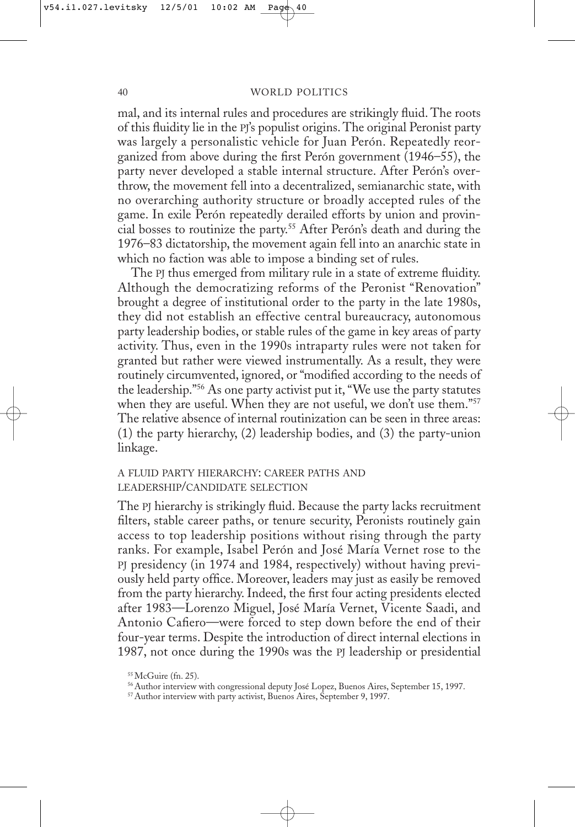mal, and its internal rules and procedures are strikingly fluid. The roots of this fluidity lie in the PJ's populist origins. The original Peronist party was largely a personalistic vehicle for Juan Perón. Repeatedly reorganized from above during the first Perón government (1946–55), the party never developed a stable internal structure. After Perón's overthrow, the movement fell into a decentralized, semianarchic state, with no overarching authority structure or broadly accepted rules of the game. In exile Perón repeatedly derailed efforts by union and provincial bosses to routinize the party.55 After Perón's death and during the 1976–83 dictatorship, the movement again fell into an anarchic state in which no faction was able to impose a binding set of rules.

The PJ thus emerged from military rule in a state of extreme fluidity. Although the democratizing reforms of the Peronist "Renovation" brought a degree of institutional order to the party in the late 1980s, they did not establish an effective central bureaucracy, autonomous party leadership bodies, or stable rules of the game in key areas of party activity. Thus, even in the 1990s intraparty rules were not taken for granted but rather were viewed instrumentally. As a result, they were routinely circumvented, ignored, or "modified according to the needs of the leadership."56 As one party activist put it, "We use the party statutes when they are useful. When they are not useful, we don't use them."<sup>57</sup> The relative absence of internal routinization can be seen in three areas: (1) the party hierarchy, (2) leadership bodies, and (3) the party-union linkage.

## A FLUID PARTY HIERARCHY: CAREER PATHS AND LEADERSHIP/CANDIDATE SELECTION

The PJ hierarchy is strikingly fluid. Because the party lacks recruitment filters, stable career paths, or tenure security, Peronists routinely gain access to top leadership positions without rising through the party ranks. For example, Isabel Perón and José María Vernet rose to the PJ presidency (in 1974 and 1984, respectively) without having previously held party office. Moreover, leaders may just as easily be removed from the party hierarchy. Indeed, the first four acting presidents elected after 1983—Lorenzo Miguel, José María Vernet, Vicente Saadi, and Antonio Cafiero—were forced to step down before the end of their four-year terms. Despite the introduction of direct internal elections in 1987, not once during the 1990s was the PJ leadership or presidential

<sup>55</sup> McGuire (fn. 25).

<sup>56</sup> Author interview with congressional deputy José Lopez, Buenos Aires, September 15, 1997.

<sup>57</sup> Author interview with party activist, Buenos Aires, September 9, 1997.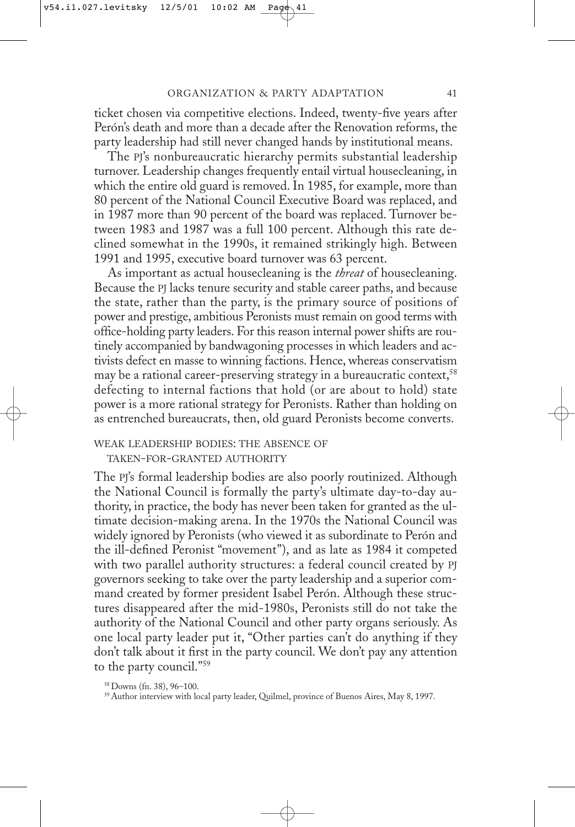ticket chosen via competitive elections. Indeed, twenty-five years after Perón's death and more than a decade after the Renovation reforms, the party leadership had still never changed hands by institutional means.

The PJ's nonbureaucratic hierarchy permits substantial leadership turnover. Leadership changes frequently entail virtual housecleaning, in which the entire old guard is removed. In 1985, for example, more than 80 percent of the National Council Executive Board was replaced, and in 1987 more than 90 percent of the board was replaced. Turnover between 1983 and 1987 was a full 100 percent. Although this rate declined somewhat in the 1990s, it remained strikingly high. Between 1991 and 1995, executive board turnover was 63 percent.

As important as actual housecleaning is the *threat* of housecleaning. Because the PJ lacks tenure security and stable career paths, and because the state, rather than the party, is the primary source of positions of power and prestige, ambitious Peronists must remain on good terms with office-holding party leaders. For this reason internal power shifts are routinely accompanied by bandwagoning processes in which leaders and activists defect en masse to winning factions. Hence, whereas conservatism may be a rational career-preserving strategy in a bureaucratic context,<sup>58</sup> defecting to internal factions that hold (or are about to hold) state power is a more rational strategy for Peronists. Rather than holding on as entrenched bureaucrats, then, old guard Peronists become converts.

## WEAK LEADERSHIP BODIES: THE ABSENCE OF

TAKEN-FOR-GRANTED AUTHORITY

The PJ's formal leadership bodies are also poorly routinized. Although the National Council is formally the party's ultimate day-to-day authority, in practice, the body has never been taken for granted as the ultimate decision-making arena. In the 1970s the National Council was widely ignored by Peronists (who viewed it as subordinate to Perón and the ill-defined Peronist "movement"), and as late as 1984 it competed with two parallel authority structures: a federal council created by PJ governors seeking to take over the party leadership and a superior command created by former president Isabel Perón. Although these structures disappeared after the mid-1980s, Peronists still do not take the authority of the National Council and other party organs seriously. As one local party leader put it, "Other parties can't do anything if they don't talk about it first in the party council. We don't pay any attention to the party council."59

<sup>58</sup> Downs (fn. 38), 96–100.

<sup>&</sup>lt;sup>59</sup> Author interview with local party leader, Quilmel, province of Buenos Aires, May 8, 1997.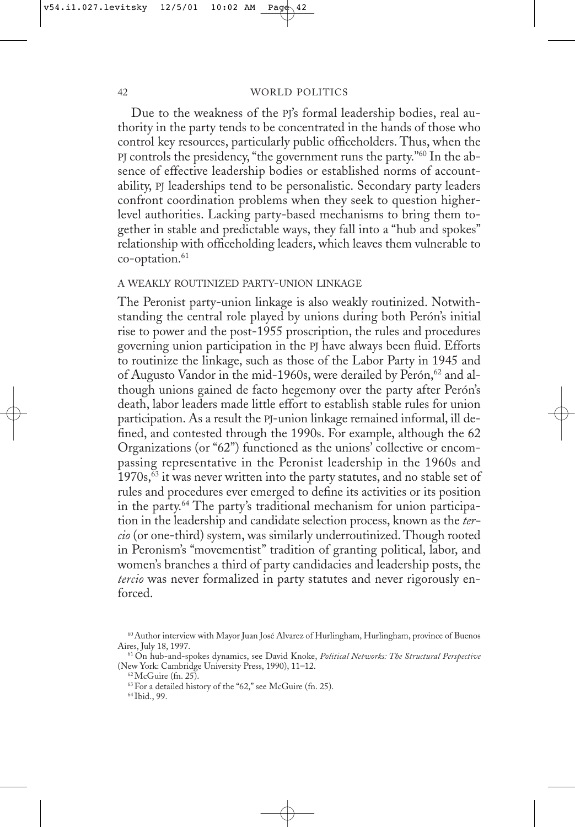Due to the weakness of the PJ's formal leadership bodies, real authority in the party tends to be concentrated in the hands of those who control key resources, particularly public officeholders. Thus, when the PJ controls the presidency, "the government runs the party."60 In the absence of effective leadership bodies or established norms of accountability, PJ leaderships tend to be personalistic. Secondary party leaders confront coordination problems when they seek to question higherlevel authorities. Lacking party-based mechanisms to bring them together in stable and predictable ways, they fall into a "hub and spokes" relationship with officeholding leaders, which leaves them vulnerable to co-optation.<sup>61</sup>

#### A WEAKLY ROUTINIZED PARTY-UNION LINKAGE

The Peronist party-union linkage is also weakly routinized. Notwithstanding the central role played by unions during both Perón's initial rise to power and the post-1955 proscription, the rules and procedures governing union participation in the PJ have always been fluid. Efforts to routinize the linkage, such as those of the Labor Party in 1945 and of Augusto Vandor in the mid-1960s, were derailed by Perón,<sup>62</sup> and although unions gained de facto hegemony over the party after Perón's death, labor leaders made little effort to establish stable rules for union participation. As a result the PJ-union linkage remained informal, ill defined, and contested through the 1990s. For example, although the 62 Organizations (or "62") functioned as the unions' collective or encompassing representative in the Peronist leadership in the 1960s and  $1970s$ ,  $63$  it was never written into the party statutes, and no stable set of rules and procedures ever emerged to define its activities or its position in the party.64 The party's traditional mechanism for union participation in the leadership and candidate selection process, known as the *tercio* (or one-third) system, was similarly underroutinized. Though rooted in Peronism's "movementist" tradition of granting political, labor, and women's branches a third of party candidacies and leadership posts, the *tercio* was never formalized in party statutes and never rigorously enforced.

64 Ibid., 99.

<sup>60</sup> Author interview with Mayor Juan José Alvarez of Hurlingham, Hurlingham, province of Buenos Aires, July 18, 1997.

<sup>61</sup> On hub-and-spokes dynamics, see David Knoke, *Political Networks: The Structural Perspective* (New York: Cambridge University Press, 1990), 11–12.

<sup>62</sup> McGuire (fn. 25).

<sup>63</sup> For a detailed history of the "62," see McGuire (fn. 25).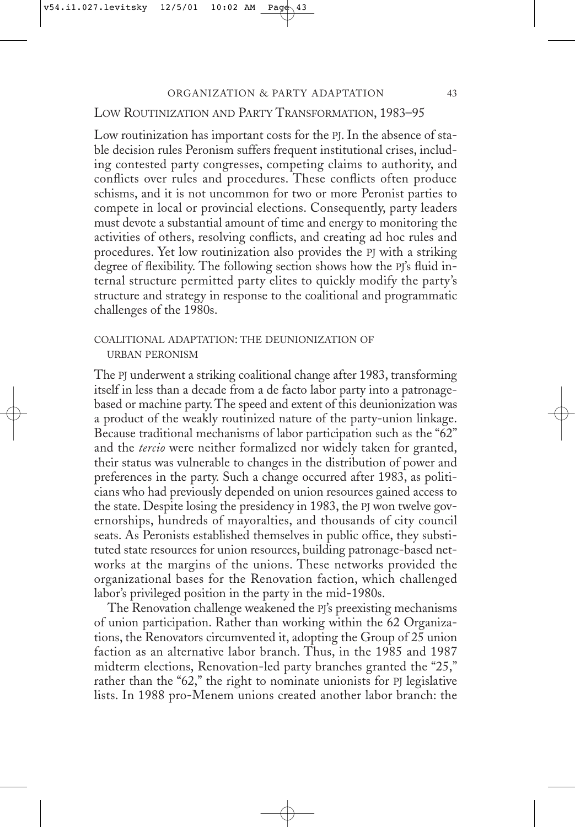# LOW ROUTINIZATION AND PARTY TRANSFORMATION, 1983–95

Low routinization has important costs for the PJ. In the absence of stable decision rules Peronism suffers frequent institutional crises, including contested party congresses, competing claims to authority, and conflicts over rules and procedures. These conflicts often produce schisms, and it is not uncommon for two or more Peronist parties to compete in local or provincial elections. Consequently, party leaders must devote a substantial amount of time and energy to monitoring the activities of others, resolving conflicts, and creating ad hoc rules and procedures. Yet low routinization also provides the PJ with a striking degree of flexibility. The following section shows how the PJ's fluid internal structure permitted party elites to quickly modify the party's structure and strategy in response to the coalitional and programmatic challenges of the 1980s.

# COALITIONAL ADAPTATION: THE DEUNIONIZATION OF URBAN PERONISM

The PJ underwent a striking coalitional change after 1983, transforming itself in less than a decade from a de facto labor party into a patronagebased or machine party. The speed and extent of this deunionization was a product of the weakly routinized nature of the party-union linkage. Because traditional mechanisms of labor participation such as the "62" and the *tercio* were neither formalized nor widely taken for granted, their status was vulnerable to changes in the distribution of power and preferences in the party. Such a change occurred after 1983, as politicians who had previously depended on union resources gained access to the state. Despite losing the presidency in 1983, the PJ won twelve governorships, hundreds of mayoralties, and thousands of city council seats. As Peronists established themselves in public office, they substituted state resources for union resources, building patronage-based networks at the margins of the unions. These networks provided the organizational bases for the Renovation faction, which challenged labor's privileged position in the party in the mid-1980s.

The Renovation challenge weakened the PJ's preexisting mechanisms of union participation. Rather than working within the 62 Organizations, the Renovators circumvented it, adopting the Group of 25 union faction as an alternative labor branch. Thus, in the 1985 and 1987 midterm elections, Renovation-led party branches granted the "25," rather than the "62," the right to nominate unionists for PJ legislative lists. In 1988 pro-Menem unions created another labor branch: the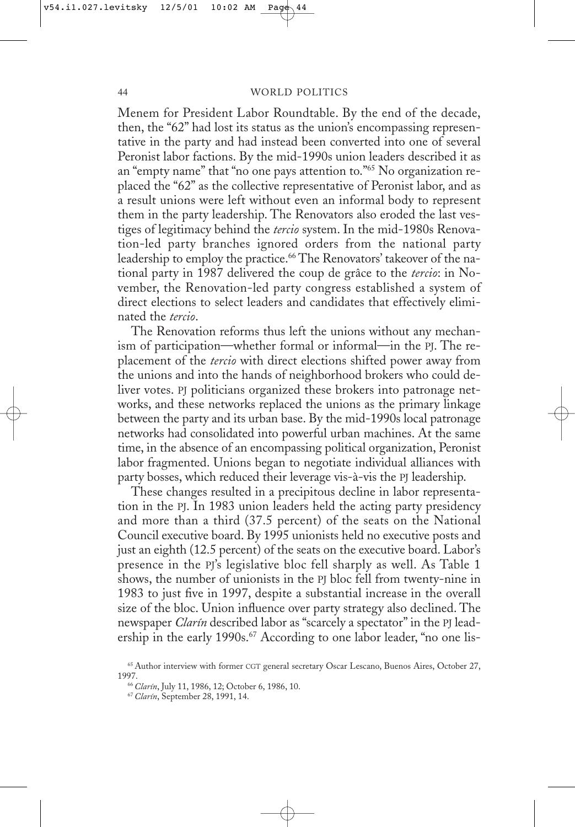Menem for President Labor Roundtable. By the end of the decade, then, the "62" had lost its status as the union's encompassing representative in the party and had instead been converted into one of several Peronist labor factions. By the mid-1990s union leaders described it as an "empty name" that "no one pays attention to."65 No organization replaced the "62" as the collective representative of Peronist labor, and as a result unions were left without even an informal body to represent them in the party leadership. The Renovators also eroded the last vestiges of legitimacy behind the *tercio* system. In the mid-1980s Renovation-led party branches ignored orders from the national party leadership to employ the practice.<sup>66</sup> The Renovators' takeover of the national party in 1987 delivered the coup de grâce to the *tercio*: in November, the Renovation-led party congress established a system of direct elections to select leaders and candidates that effectively eliminated the *tercio*.

The Renovation reforms thus left the unions without any mechanism of participation—whether formal or informal—in the PJ. The replacement of the *tercio* with direct elections shifted power away from the unions and into the hands of neighborhood brokers who could deliver votes. PJ politicians organized these brokers into patronage networks, and these networks replaced the unions as the primary linkage between the party and its urban base. By the mid-1990s local patronage networks had consolidated into powerful urban machines. At the same time, in the absence of an encompassing political organization, Peronist labor fragmented. Unions began to negotiate individual alliances with party bosses, which reduced their leverage vis-à-vis the PJ leadership.

These changes resulted in a precipitous decline in labor representation in the PJ. In 1983 union leaders held the acting party presidency and more than a third (37.5 percent) of the seats on the National Council executive board. By 1995 unionists held no executive posts and just an eighth (12.5 percent) of the seats on the executive board. Labor's presence in the PJ's legislative bloc fell sharply as well. As Table 1 shows, the number of unionists in the PJ bloc fell from twenty-nine in 1983 to just five in 1997, despite a substantial increase in the overall size of the bloc. Union influence over party strategy also declined. The newspaper *Clarín* described labor as "scarcely a spectator" in the PJ leadership in the early 1990s.<sup>67</sup> According to one labor leader, "no one lis-

<sup>65</sup> Author interview with former CGT general secretary Oscar Lescano, Buenos Aires, October 27, 1997.

<sup>66</sup>*Clarín*, July 11, 1986, 12; October 6, 1986, 10.

<sup>67</sup>*Clarín*, September 28, 1991, 14.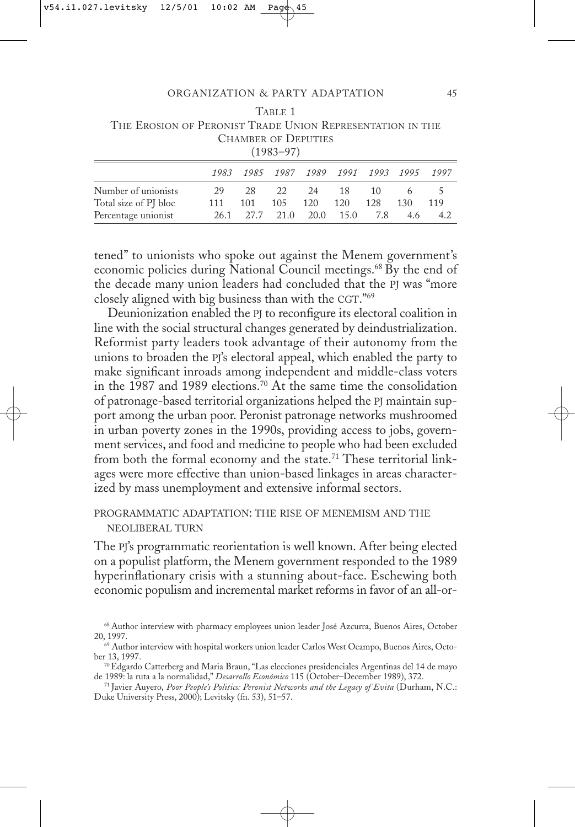| THE EROSION OF PERONIST TRADE UNION REPRESENTATION IN THE |      |           |                     |      |      |      |      |      |  |  |
|-----------------------------------------------------------|------|-----------|---------------------|------|------|------|------|------|--|--|
| <b>CHAMBER OF DEPUTIES</b>                                |      |           |                     |      |      |      |      |      |  |  |
| $(1983 - 97)$                                             |      |           |                     |      |      |      |      |      |  |  |
|                                                           | 1983 |           | 1985 1987 1989 1991 |      |      | 1993 | 1995 | 1997 |  |  |
| Number of unionists                                       | 29   | 28        | 22                  | -24  | 18   | 10   | 6    | 5    |  |  |
| Total size of PJ bloc                                     | 111  | 101       | 105                 | 120  | 120  | 128  | 130  | 119  |  |  |
| Percentage unionist                                       |      | 26.1 27.7 | 21.0                | 20.0 | 15.0 | 7.8  | 4.6  | 4.2  |  |  |
|                                                           |      |           |                     |      |      |      |      |      |  |  |

TABLE 1

tened" to unionists who spoke out against the Menem government's economic policies during National Council meetings.68 By the end of the decade many union leaders had concluded that the PJ was "more closely aligned with big business than with the CGT."69

Deunionization enabled the PJ to reconfigure its electoral coalition in line with the social structural changes generated by deindustrialization. Reformist party leaders took advantage of their autonomy from the unions to broaden the PJ's electoral appeal, which enabled the party to make significant inroads among independent and middle-class voters in the 1987 and 1989 elections.70 At the same time the consolidation of patronage-based territorial organizations helped the PJ maintain support among the urban poor. Peronist patronage networks mushroomed in urban poverty zones in the 1990s, providing access to jobs, government services, and food and medicine to people who had been excluded from both the formal economy and the state.<sup>71</sup> These territorial linkages were more effective than union-based linkages in areas characterized by mass unemployment and extensive informal sectors.

## PROGRAMMATIC ADAPTATION: THE RISE OF MENEMISM AND THE NEOLIBERAL TURN

The PJ's programmatic reorientation is well known. After being elected on a populist platform, the Menem government responded to the 1989 hyperinflationary crisis with a stunning about-face. Eschewing both economic populism and incremental market reforms in favor of an all-or-

- 70 Edgardo Catterberg and Maria Braun, "Las elecciones presidenciales Argentinas del 14 de mayo de 1989: la ruta a la normalidad," *Desarrollo Económico* 115 (October–December 1989), 372.
- <sup>71</sup> Javier Auyero, *Poor People's Politics: Peronist Networks and the Legacy of Evita* (Durham, N.C.: Duke University Press, 2000); Levitsky (fn. 53), 51–57.

<sup>68</sup> Author interview with pharmacy employees union leader José Azcurra, Buenos Aires, October 20, 1997.

<sup>&</sup>lt;sup>69</sup> Author interview with hospital workers union leader Carlos West Ocampo, Buenos Aires, October 13, 1997.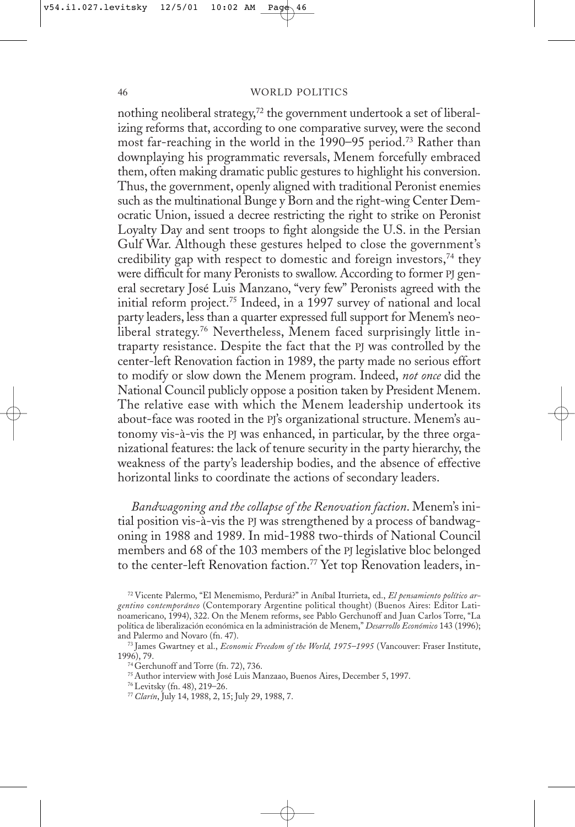nothing neoliberal strategy,<sup>72</sup> the government undertook a set of liberalizing reforms that, according to one comparative survey, were the second most far-reaching in the world in the 1990–95 period.73 Rather than downplaying his programmatic reversals, Menem forcefully embraced them, often making dramatic public gestures to highlight his conversion. Thus, the government, openly aligned with traditional Peronist enemies such as the multinational Bunge y Born and the right-wing Center Democratic Union, issued a decree restricting the right to strike on Peronist Loyalty Day and sent troops to fight alongside the U.S. in the Persian Gulf War. Although these gestures helped to close the government's credibility gap with respect to domestic and foreign investors,<sup>74</sup> they were difficult for many Peronists to swallow. According to former PJ general secretary José Luis Manzano, "very few" Peronists agreed with the initial reform project.75 Indeed, in a 1997 survey of national and local party leaders, less than a quarter expressed full support for Menem's neoliberal strategy.<sup>76</sup> Nevertheless, Menem faced surprisingly little intraparty resistance. Despite the fact that the PJ was controlled by the center-left Renovation faction in 1989, the party made no serious effort to modify or slow down the Menem program. Indeed, *not once* did the National Council publicly oppose a position taken by President Menem. The relative ease with which the Menem leadership undertook its about-face was rooted in the PJ's organizational structure. Menem's autonomy vis-à-vis the PJ was enhanced, in particular, by the three organizational features: the lack of tenure security in the party hierarchy, the weakness of the party's leadership bodies, and the absence of effective horizontal links to coordinate the actions of secondary leaders.

*Bandwagoning and the collapse of the Renovation faction*. Menem's initial position vis-à-vis the PJ was strengthened by a process of bandwagoning in 1988 and 1989. In mid-1988 two-thirds of National Council members and 68 of the 103 members of the PJ legislative bloc belonged to the center-left Renovation faction.77 Yet top Renovation leaders, in-

<sup>72</sup> Vicente Palermo, "El Menemismo, Perdurá?" in Aníbal Iturrieta, ed., *El pensamiento político argentino* c*ontemporáneo* (Contemporary Argentine political thought) (Buenos Aires: Editor Latinoamericano, 1994), 322. On the Menem reforms, see Pablo Gerchunoff and Juan Carlos Torre, "La política de liberalización económica en la administración de Menem," *Desarrollo Económico* 143 (1996); and Palermo and Novaro (fn. 47).

<sup>73</sup> James Gwartney et al., *Economic Freedom of the World, 1975–1995* (Vancouver: Fraser Institute, 1996), 79.

<sup>74</sup> Gerchunoff and Torre (fn. 72), 736.

<sup>75</sup> Author interview with José Luis Manzaao, Buenos Aires, December 5, 1997.

<sup>76</sup> Levitsky (fn. 48), 219–26.

<sup>77</sup>*Clarín*, July 14, 1988, 2, 15; July 29, 1988, 7.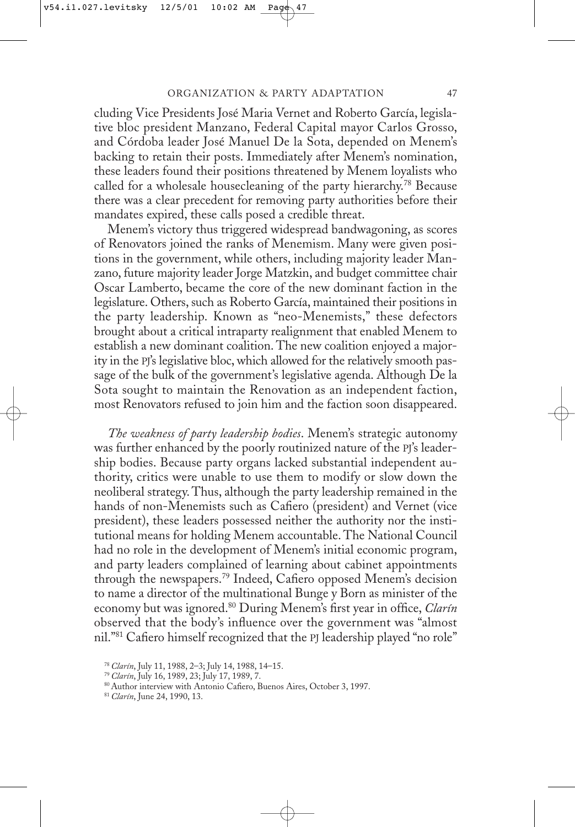cluding Vice Presidents José Maria Vernet and Roberto García, legislative bloc president Manzano, Federal Capital mayor Carlos Grosso, and Córdoba leader José Manuel De la Sota, depended on Menem's backing to retain their posts. Immediately after Menem's nomination, these leaders found their positions threatened by Menem loyalists who called for a wholesale housecleaning of the party hierarchy.<sup>78</sup> Because there was a clear precedent for removing party authorities before their mandates expired, these calls posed a credible threat.

Menem's victory thus triggered widespread bandwagoning, as scores of Renovators joined the ranks of Menemism. Many were given positions in the government, while others, including majority leader Manzano, future majority leader Jorge Matzkin, and budget committee chair Oscar Lamberto, became the core of the new dominant faction in the legislature. Others, such as Roberto García, maintained their positions in the party leadership. Known as "neo-Menemists," these defectors brought about a critical intraparty realignment that enabled Menem to establish a new dominant coalition. The new coalition enjoyed a majority in the PJ's legislative bloc, which allowed for the relatively smooth passage of the bulk of the government's legislative agenda. Although De la Sota sought to maintain the Renovation as an independent faction, most Renovators refused to join him and the faction soon disappeared.

*The weakness of party leadership bodies*. Menem's strategic autonomy was further enhanced by the poorly routinized nature of the PJ's leadership bodies. Because party organs lacked substantial independent authority, critics were unable to use them to modify or slow down the neoliberal strategy. Thus, although the party leadership remained in the hands of non-Menemists such as Cafiero (president) and Vernet (vice president), these leaders possessed neither the authority nor the institutional means for holding Menem accountable. The National Council had no role in the development of Menem's initial economic program, and party leaders complained of learning about cabinet appointments through the newspapers.79 Indeed, Cafiero opposed Menem's decision to name a director of the multinational Bunge y Born as minister of the economy but was ignored.80 During Menem's first year in office, *Clarín* observed that the body's influence over the government was "almost nil."81 Cafiero himself recognized that the PJ leadership played "no role"

<sup>78</sup>*Clarín*, July 11, 1988, 2–3; July 14, 1988, 14–15.

<sup>79</sup>*Clarín*, July 16, 1989, 23; July 17, 1989, 7.

<sup>80</sup> Author interview with Antonio Cafiero, Buenos Aires, October 3, 1997.

<sup>81</sup>*Clarín*, June 24, 1990, 13.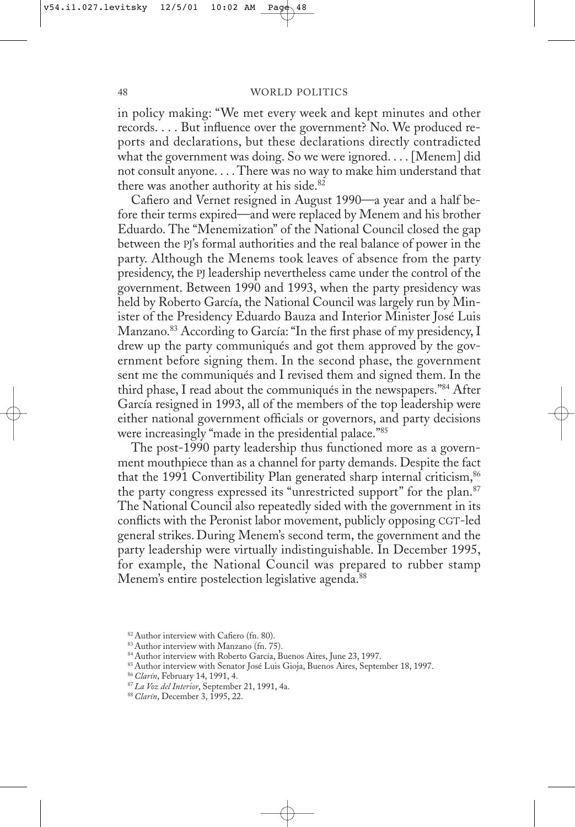in policy making: "We met every week and kept minutes and other records. . . . But influence over the government? No. We produced reports and declarations, but these declarations directly contradicted what the government was doing. So we were ignored.... [Menem] did not consult anyone. . . . There was no way to make him understand that there was another authority at his side.<sup>82</sup>

Cafiero and Vernet resigned in August 1990—a year and a half before their terms expired—and were replaced by Menem and his brother Eduardo. The "Menemization" of the National Council closed the gap between the PJ's formal authorities and the real balance of power in the party. Although the Menems took leaves of absence from the party presidency, the PJ leadership nevertheless came under the control of the government. Between 1990 and 1993, when the party presidency was held by Roberto García, the National Council was largely run by Minister of the Presidency Eduardo Bauza and Interior Minister José Luis Manzano.83 According to García: "In the first phase of my presidency, I drew up the party communiqués and got them approved by the government before signing them. In the second phase, the government sent me the communiqués and I revised them and signed them. In the third phase, I read about the communiqués in the newspapers."84 After García resigned in 1993, all of the members of the top leadership were either national government officials or governors, and party decisions were increasingly "made in the presidential palace."85

The post-1990 party leadership thus functioned more as a government mouthpiece than as a channel for party demands. Despite the fact that the 1991 Convertibility Plan generated sharp internal criticism, 86 the party congress expressed its "unrestricted support" for the plan.<sup>87</sup> The National Council also repeatedly sided with the government in its conflicts with the Peronist labor movement, publicly opposing CGT-led general strikes. During Menem's second term, the government and the party leadership were virtually indistinguishable. In December 1995, for example, the National Council was prepared to rubber stamp Menem's entire postelection legislative agenda.<sup>88</sup>

<sup>82</sup> Author interview with Cafiero (fn. 80).

<sup>83</sup> Author interview with Manzano (fn. 75).

<sup>84</sup> Author interview with Roberto García, Buenos Aires, June 23, 1997.

<sup>85</sup> Author interview with Senator José Luis Gioja, Buenos Aires, September 18, 1997.

<sup>86</sup>*Clarín*, February 14, 1991, 4.

<sup>87</sup>*La Voz del Interior*, September 21, 1991, 4a.

<sup>88</sup>*Clarín*, December 3, 1995, 22.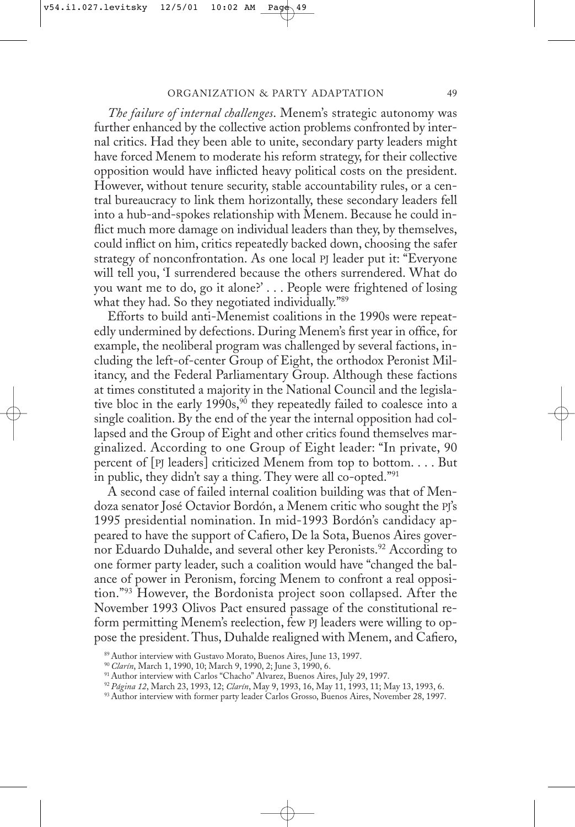*The failure of internal challenges*. Menem's strategic autonomy was further enhanced by the collective action problems confronted by internal critics. Had they been able to unite, secondary party leaders might have forced Menem to moderate his reform strategy, for their collective opposition would have inflicted heavy political costs on the president. However, without tenure security, stable accountability rules, or a central bureaucracy to link them horizontally, these secondary leaders fell into a hub-and-spokes relationship with Menem. Because he could inflict much more damage on individual leaders than they, by themselves, could inflict on him, critics repeatedly backed down, choosing the safer strategy of nonconfrontation. As one local PJ leader put it: "Everyone will tell you, 'I surrendered because the others surrendered. What do you want me to do, go it alone?' . . . People were frightened of losing what they had. So they negotiated individually."89

Efforts to build anti-Menemist coalitions in the 1990s were repeatedly undermined by defections. During Menem's first year in office, for example, the neoliberal program was challenged by several factions, including the left-of-center Group of Eight, the orthodox Peronist Militancy, and the Federal Parliamentary Group. Although these factions at times constituted a majority in the National Council and the legislative bloc in the early  $1990s$ ,<sup>90</sup> they repeatedly failed to coalesce into a single coalition. By the end of the year the internal opposition had collapsed and the Group of Eight and other critics found themselves marginalized. According to one Group of Eight leader: "In private, 90 percent of [PJ leaders] criticized Menem from top to bottom. . . . But in public, they didn't say a thing. They were all co-opted."<sup>91</sup>

A second case of failed internal coalition building was that of Mendoza senator José Octavior Bordón, a Menem critic who sought the PJ's 1995 presidential nomination. In mid-1993 Bordón's candidacy appeared to have the support of Cafiero, De la Sota, Buenos Aires governor Eduardo Duhalde, and several other key Peronists.<sup>92</sup> According to one former party leader, such a coalition would have "changed the balance of power in Peronism, forcing Menem to confront a real opposition."93 However, the Bordonista project soon collapsed. After the November 1993 Olivos Pact ensured passage of the constitutional reform permitting Menem's reelection, few PJ leaders were willing to oppose the president. Thus, Duhalde realigned with Menem, and Cafiero,

<sup>89</sup> Author interview with Gustavo Morato, Buenos Aires, June 13, 1997.

<sup>90</sup>*Clarín*, March 1, 1990, 10; March 9, 1990, 2; June 3, 1990, 6.

<sup>91</sup> Author interview with Carlos "Chacho" Alvarez, Buenos Aires, July 29, 1997.

<sup>92</sup>*Página 12*, March 23, 1993, 12; *Clarín*, May 9, 1993, 16, May 11, 1993, 11; May 13, 1993, 6.

<sup>93</sup> Author interview with former party leader Carlos Grosso, Buenos Aires, November 28, 1997.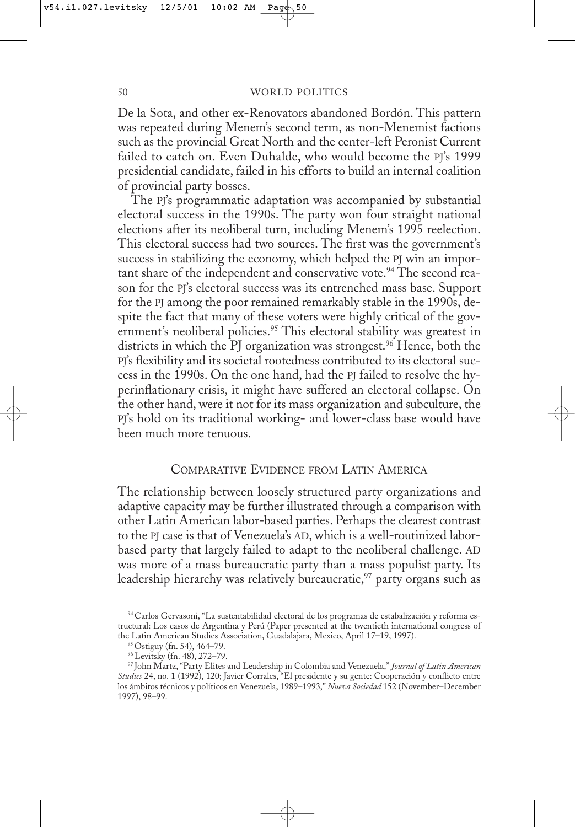De la Sota, and other ex-Renovators abandoned Bordón. This pattern was repeated during Menem's second term, as non-Menemist factions such as the provincial Great North and the center-left Peronist Current failed to catch on. Even Duhalde, who would become the PJ's 1999 presidential candidate, failed in his efforts to build an internal coalition of provincial party bosses.

The PJ's programmatic adaptation was accompanied by substantial electoral success in the 1990s. The party won four straight national elections after its neoliberal turn, including Menem's 1995 reelection. This electoral success had two sources. The first was the government's success in stabilizing the economy, which helped the PJ win an important share of the independent and conservative vote.<sup>94</sup> The second reason for the PJ's electoral success was its entrenched mass base. Support for the PJ among the poor remained remarkably stable in the 1990s, despite the fact that many of these voters were highly critical of the government's neoliberal policies.<sup>95</sup> This electoral stability was greatest in districts in which the PJ organization was strongest.<sup>96</sup> Hence, both the PJ's flexibility and its societal rootedness contributed to its electoral success in the 1990s. On the one hand, had the PJ failed to resolve the hyperinflationary crisis, it might have suffered an electoral collapse. On the other hand, were it not for its mass organization and subculture, the PJ's hold on its traditional working- and lower-class base would have been much more tenuous.

## COMPARATIVE EVIDENCE FROM LATIN AMERICA

The relationship between loosely structured party organizations and adaptive capacity may be further illustrated through a comparison with other Latin American labor-based parties. Perhaps the clearest contrast to the PJ case is that of Venezuela's AD, which is a well-routinized laborbased party that largely failed to adapt to the neoliberal challenge. AD was more of a mass bureaucratic party than a mass populist party. Its leadership hierarchy was relatively bureaucratic,  $\frac{97}{2}$  party organs such as

<sup>94</sup> Carlos Gervasoni, "La sustentabilidad electoral de los programas de estabalización y reforma estructural: Los casos de Argentina y Perú (Paper presented at the twentieth international congress of the Latin American Studies Association, Guadalajara, Mexico, April 17–19, 1997).

<sup>95</sup> Ostiguy (fn. 54), 464–79.

<sup>96</sup> Levitsky (fn. 48), 272–79.

<sup>97</sup> John Martz, "Party Elites and Leadership in Colombia and Venezuela," *Journal of Latin American Studies* 24, no. 1 (1992), 120; Javier Corrales, "El presidente y su gente: Cooperación y conflicto entre los ámbitos técnicos y políticos en Venezuela, 1989–1993," *Nueva Sociedad* 152 (November–December 1997), 98–99.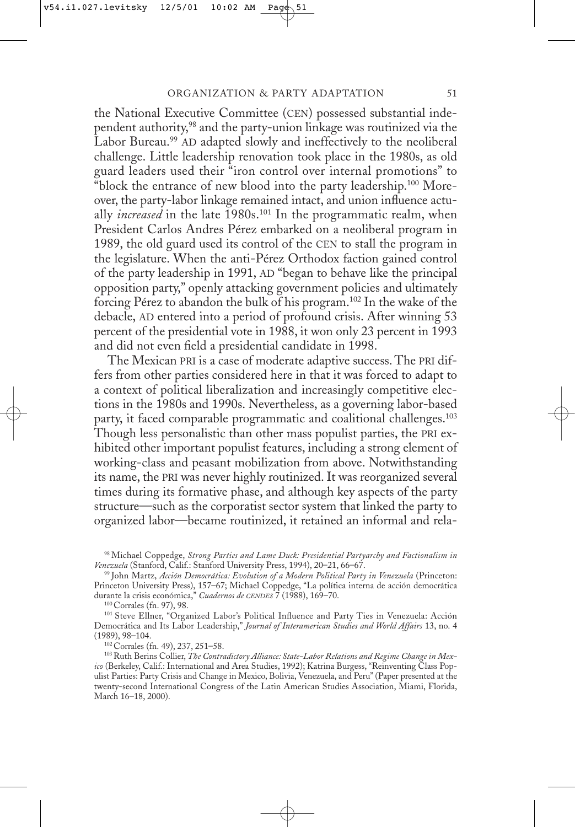the National Executive Committee (CEN) possessed substantial independent authority,98 and the party-union linkage was routinized via the Labor Bureau.<sup>99</sup> AD adapted slowly and ineffectively to the neoliberal challenge. Little leadership renovation took place in the 1980s, as old guard leaders used their "iron control over internal promotions" to "block the entrance of new blood into the party leadership.<sup>100</sup> Moreover, the party-labor linkage remained intact, and union influence actually *increased* in the late 1980s.<sup>101</sup> In the programmatic realm, when President Carlos Andres Pérez embarked on a neoliberal program in 1989, the old guard used its control of the CEN to stall the program in the legislature. When the anti-Pérez Orthodox faction gained control of the party leadership in 1991, AD "began to behave like the principal opposition party," openly attacking government policies and ultimately forcing Pérez to abandon the bulk of his program.102 In the wake of the debacle, AD entered into a period of profound crisis. After winning 53 percent of the presidential vote in 1988, it won only 23 percent in 1993 and did not even field a presidential candidate in 1998.

The Mexican PRI is a case of moderate adaptive success. The PRI differs from other parties considered here in that it was forced to adapt to a context of political liberalization and increasingly competitive elections in the 1980s and 1990s. Nevertheless, as a governing labor-based party, it faced comparable programmatic and coalitional challenges.<sup>103</sup> Though less personalistic than other mass populist parties, the PRI exhibited other important populist features, including a strong element of working-class and peasant mobilization from above. Notwithstanding its name, the PRI was never highly routinized. It was reorganized several times during its formative phase, and although key aspects of the party structure—such as the corporatist sector system that linked the party to organized labor—became routinized, it retained an informal and rela-

100 Corrales (fn. 97), 98.

101 Steve Ellner, "Organized Labor's Political Influence and Party Ties in Venezuela: Acción Democrática and Its Labor Leadership," *Journal of Interamerican Studies and World Affairs* 13, no. 4 (1989), 98–104.

102 Corrales (fn. 49), 237, 251–58.

<sup>98</sup> Michael Coppedge, *Strong Parties and Lame Duck: Presidential Partyarchy and Factionalism in Venezuela* (Stanford, Calif.: Stanford University Press, 1994), 20–21, 66–67.

<sup>99</sup> John Martz, *Acción Democrática: Evolution of a Modern Political Party in Venezuela* (Princeton: Princeton University Press), 157–67; Michael Coppedge, "La política interna de acción democrática durante la crisis económica," *Cuadernos de CENDES* 7 (1988), 169–70.

<sup>103</sup> Ruth Berins Collier,*The Contradictory Alliance: State-Labor Relations and Regime Change in Mexico* (Berkeley, Calif.: International and Area Studies, 1992); Katrina Burgess, "Reinventing Class Populist Parties: Party Crisis and Change in Mexico, Bolivia, Venezuela, and Peru" (Paper presented at the twenty-second International Congress of the Latin American Studies Association, Miami, Florida, March 16–18, 2000).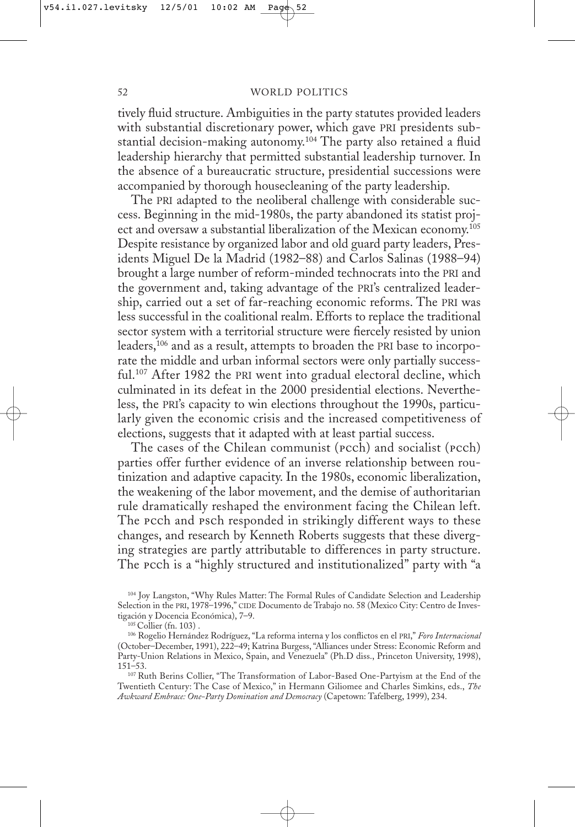tively fluid structure. Ambiguities in the party statutes provided leaders with substantial discretionary power, which gave PRI presidents substantial decision-making autonomy.<sup>104</sup> The party also retained a fluid leadership hierarchy that permitted substantial leadership turnover. In the absence of a bureaucratic structure, presidential successions were accompanied by thorough housecleaning of the party leadership.

The PRI adapted to the neoliberal challenge with considerable success. Beginning in the mid-1980s, the party abandoned its statist project and oversaw a substantial liberalization of the Mexican economy.<sup>105</sup> Despite resistance by organized labor and old guard party leaders, Presidents Miguel De la Madrid (1982–88) and Carlos Salinas (1988–94) brought a large number of reform-minded technocrats into the PRI and the government and, taking advantage of the PRI's centralized leadership, carried out a set of far-reaching economic reforms. The PRI was less successful in the coalitional realm. Efforts to replace the traditional sector system with a territorial structure were fiercely resisted by union leaders,106 and as a result, attempts to broaden the PRI base to incorporate the middle and urban informal sectors were only partially successful.107 After 1982 the PRI went into gradual electoral decline, which culminated in its defeat in the 2000 presidential elections. Nevertheless, the PRI's capacity to win elections throughout the 1990s, particularly given the economic crisis and the increased competitiveness of elections, suggests that it adapted with at least partial success.

The cases of the Chilean communist (pcch) and socialist (pcch) parties offer further evidence of an inverse relationship between routinization and adaptive capacity. In the 1980s, economic liberalization, the weakening of the labor movement, and the demise of authoritarian rule dramatically reshaped the environment facing the Chilean left. The pcch and psch responded in strikingly different ways to these changes, and research by Kenneth Roberts suggests that these diverging strategies are partly attributable to differences in party structure. The pcch is a "highly structured and institutionalized" party with "a

<sup>104</sup> Joy Langston, "Why Rules Matter: The Formal Rules of Candidate Selection and Leadership Selection in the PRI, 1978–1996," CIDE Documento de Trabajo no. 58 (Mexico City: Centro de Investigación y Docencia Económica), 7–9.

<sup>105</sup> Collier (fn. 103) .

<sup>106</sup> Rogelio Hernández Rodríguez, "La reforma interna y los conflictos en el PRI," *Foro Internacional* (October–December, 1991), 222–49; Katrina Burgess, "Alliances under Stress: Economic Reform and Party-Union Relations in Mexico, Spain, and Venezuela" (Ph.D diss., Princeton University, 1998), 151–53.

<sup>107</sup> Ruth Berins Collier, "The Transformation of Labor-Based One-Partyism at the End of the Twentieth Century: The Case of Mexico," in Hermann Giliomee and Charles Simkins, eds., *The Awkward Embrace: One-Party Domination and Democracy* (Capetown: Tafelberg, 1999), 234.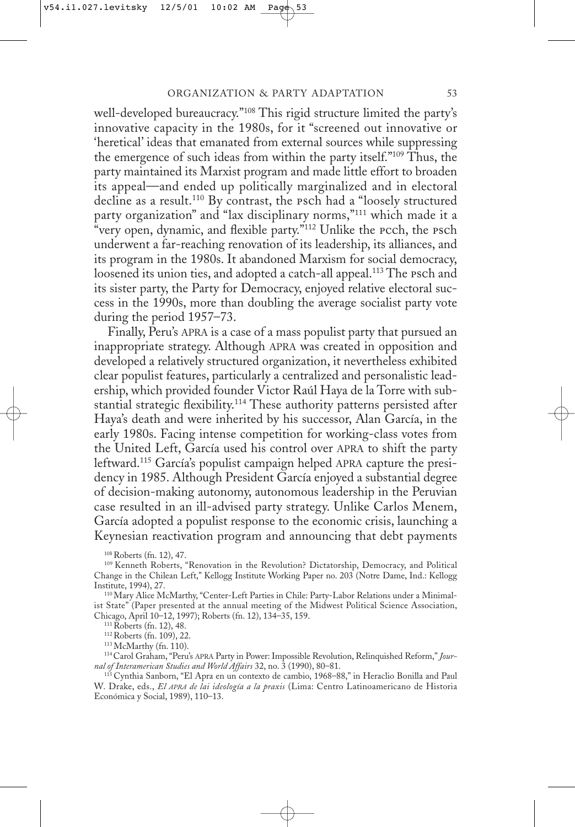well-developed bureaucracy."108 This rigid structure limited the party's innovative capacity in the 1980s, for it "screened out innovative or 'heretical' ideas that emanated from external sources while suppressing the emergence of such ideas from within the party itself."<sup>109</sup> Thus, the party maintained its Marxist program and made little effort to broaden its appeal—and ended up politically marginalized and in electoral decline as a result.<sup>110</sup> By contrast, the psch had a "loosely structured party organization" and "lax disciplinary norms,"111 which made it a "very open, dynamic, and flexible party."<sup>112</sup> Unlike the rech, the rsch underwent a far-reaching renovation of its leadership, its alliances, and its program in the 1980s. It abandoned Marxism for social democracy, loosened its union ties, and adopted a catch-all appeal.<sup>113</sup> The psch and its sister party, the Party for Democracy, enjoyed relative electoral success in the 1990s, more than doubling the average socialist party vote during the period 1957–73.

Finally, Peru's APRA is a case of a mass populist party that pursued an inappropriate strategy. Although APRA was created in opposition and developed a relatively structured organization, it nevertheless exhibited clear populist features, particularly a centralized and personalistic leadership, which provided founder Victor Raúl Haya de la Torre with substantial strategic flexibility.114 These authority patterns persisted after Haya's death and were inherited by his successor, Alan García, in the early 1980s. Facing intense competition for working-class votes from the United Left, García used his control over APRA to shift the party leftward.115 García's populist campaign helped APRA capture the presidency in 1985. Although President García enjoyed a substantial degree of decision-making autonomy, autonomous leadership in the Peruvian case resulted in an ill-advised party strategy. Unlike Carlos Menem, García adopted a populist response to the economic crisis, launching a Keynesian reactivation program and announcing that debt payments

108 Roberts (fn. 12), 47.

109 Kenneth Roberts, "Renovation in the Revolution? Dictatorship, Democracy, and Political Change in the Chilean Left," Kellogg Institute Working Paper no. 203 (Notre Dame, Ind.: Kellogg Institute, 1994), 27.

110 Mary Alice McMarthy, "Center-Left Parties in Chile: Party-Labor Relations under a Minimalist State" (Paper presented at the annual meeting of the Midwest Political Science Association, Chicago, April 10–12, 1997); Roberts (fn. 12), 134–35, 159.

111 Roberts (fn. 12), 48.

112 Roberts (fn. 109), 22.

113 McMarthy (fn. 110).

114 Carol Graham, "Peru's APRA Party in Power: Impossible Revolution, Relinquished Reform," *Journal of Interamerican Studies and World Affairs* 32, no. 3 (1990), 80–81.

115 Cynthia Sanborn, "El Apra en un contexto de cambio, 1968–88," in Heraclio Bonilla and Paul W. Drake, eds., *El APRA de lai ideología a la praxis* (Lima: Centro Latinoamericano de Historia Económica y Social, 1989), 110–13.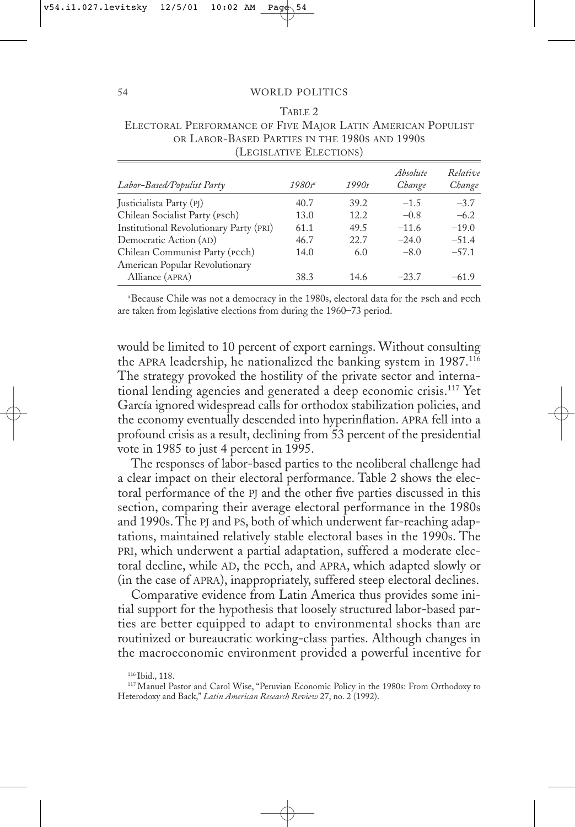| TABLE 2                                                     |  |  |  |  |  |
|-------------------------------------------------------------|--|--|--|--|--|
| ELECTORAL PERFORMANCE OF FIVE MAJOR LATIN AMERICAN POPULIST |  |  |  |  |  |
| OR LABOR-BASED PARTIES IN THE 1980S AND 1990S               |  |  |  |  |  |
| (LEGISLATIVE ELECTIONS)                                     |  |  |  |  |  |
|                                                             |  |  |  |  |  |

| Labor-Based/Populist Party                        | $1980s^a$ | 1990s | Absolute<br>Change | Relative<br>Change |
|---------------------------------------------------|-----------|-------|--------------------|--------------------|
| Justicialista Party (PJ)                          | 40.7      | 39.2  | $-1.5$             | $-3.7$             |
| Chilean Socialist Party (Psch)                    | 13.0      | 12.2  | $-0.8$             | $-6.2$             |
| Institutional Revolutionary Party (PRI)           | 61.1      | 49.5  | $-11.6$            | $-19.0$            |
| Democratic Action (AD)                            | 46.7      | 22.7  | $-24.0$            | $-51.4$            |
| Chilean Communist Party ( <i>pcch</i> )           | 14.0      | 6.0   | $-8.0$             | $-57.1$            |
| American Popular Revolutionary<br>Alliance (APRA) | 38.3      | 14.6  | $-23.7$            | $-61.9$            |

<sup>a</sup>Because Chile was not a democracy in the 1980s, electoral data for the Psch and Pcch are taken from legislative elections from during the 1960–73 period.

would be limited to 10 percent of export earnings. Without consulting the APRA leadership, he nationalized the banking system in 1987.116 The strategy provoked the hostility of the private sector and international lending agencies and generated a deep economic crisis.117 Yet García ignored widespread calls for orthodox stabilization policies, and the economy eventually descended into hyperinflation. APRA fell into a profound crisis as a result, declining from 53 percent of the presidential vote in 1985 to just 4 percent in 1995.

The responses of labor-based parties to the neoliberal challenge had a clear impact on their electoral performance. Table 2 shows the electoral performance of the PJ and the other five parties discussed in this section, comparing their average electoral performance in the 1980s and 1990s. The PJ and PS, both of which underwent far-reaching adaptations, maintained relatively stable electoral bases in the 1990s. The PRI, which underwent a partial adaptation, suffered a moderate electoral decline, while AD, the pcch, and APRA, which adapted slowly or (in the case of APRA), inappropriately, suffered steep electoral declines.

Comparative evidence from Latin America thus provides some initial support for the hypothesis that loosely structured labor-based parties are better equipped to adapt to environmental shocks than are routinized or bureaucratic working-class parties. Although changes in the macroeconomic environment provided a powerful incentive for

 $\overline{\phantom{a}}$ 

<sup>116</sup> Ibid., 118.

<sup>117</sup> Manuel Pastor and Carol Wise, "Peruvian Economic Policy in the 1980s: From Orthodoxy to Heterodoxy and Back," *Latin American Research Review* 27, no. 2 (1992).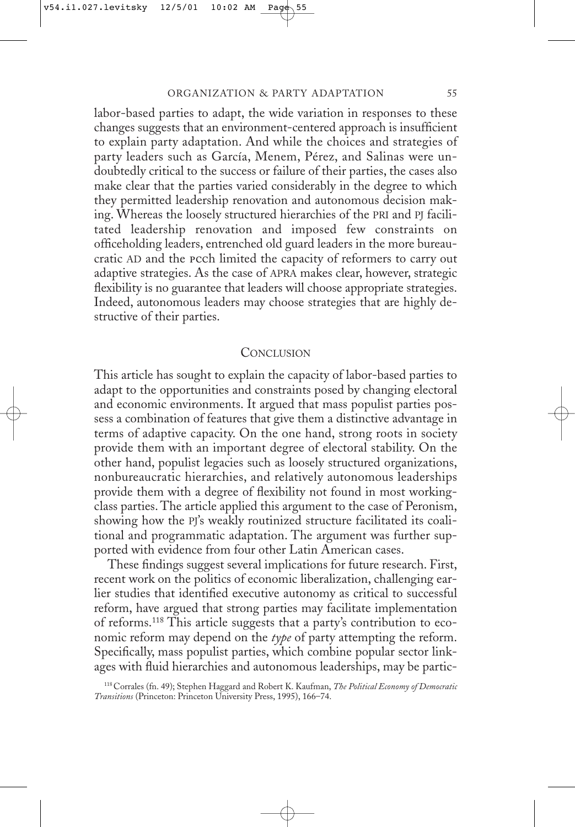labor-based parties to adapt, the wide variation in responses to these changes suggests that an environment-centered approach is insufficient to explain party adaptation. And while the choices and strategies of party leaders such as García, Menem, Pérez, and Salinas were undoubtedly critical to the success or failure of their parties, the cases also make clear that the parties varied considerably in the degree to which they permitted leadership renovation and autonomous decision making. Whereas the loosely structured hierarchies of the PRI and PJ facilitated leadership renovation and imposed few constraints on officeholding leaders, entrenched old guard leaders in the more bureaucratic AD and the pcch limited the capacity of reformers to carry out adaptive strategies. As the case of APRA makes clear, however, strategic flexibility is no guarantee that leaders will choose appropriate strategies. Indeed, autonomous leaders may choose strategies that are highly destructive of their parties.

#### **CONCLUSION**

This article has sought to explain the capacity of labor-based parties to adapt to the opportunities and constraints posed by changing electoral and economic environments. It argued that mass populist parties possess a combination of features that give them a distinctive advantage in terms of adaptive capacity. On the one hand, strong roots in society provide them with an important degree of electoral stability. On the other hand, populist legacies such as loosely structured organizations, nonbureaucratic hierarchies, and relatively autonomous leaderships provide them with a degree of flexibility not found in most workingclass parties. The article applied this argument to the case of Peronism, showing how the PJ's weakly routinized structure facilitated its coalitional and programmatic adaptation. The argument was further supported with evidence from four other Latin American cases.

These findings suggest several implications for future research. First, recent work on the politics of economic liberalization, challenging earlier studies that identified executive autonomy as critical to successful reform, have argued that strong parties may facilitate implementation of reforms.118 This article suggests that a party's contribution to economic reform may depend on the *type* of party attempting the reform. Specifically, mass populist parties, which combine popular sector linkages with fluid hierarchies and autonomous leaderships, may be partic-

<sup>118</sup> Corrales (fn. 49); Stephen Haggard and Robert K. Kaufman, *The Political Economy of Democratic Transitions* (Princeton: Princeton University Press, 1995), 166–74.